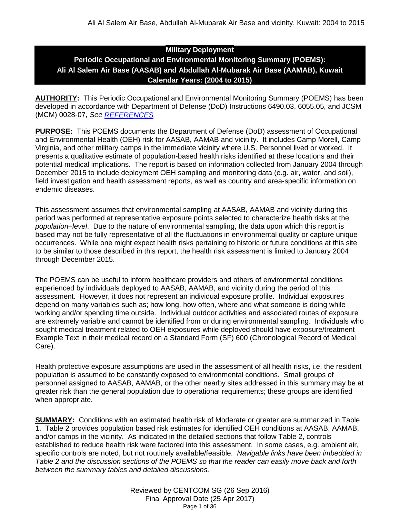# **Military Deployment Periodic Occupational and Environmental Monitoring Summary (POEMS): Ali Al Salem Air Base (AASAB) and Abdullah Al-Mubarak Air Base (AAMAB), Kuwait Calendar Years: (2004 to 2015)**

**AUTHORITY:** This Periodic Occupational and Environmental Monitoring Summary (POEMS) has been developed in accordance with Department of Defense (DoD) Instructions 6490.03, 6055.05, and JCSM (MCM) 0028-07, *See [REFERENCES.](#page-34-0)*

**PURPOSE:** This POEMS documents the Department of Defense (DoD) assessment of Occupational and Environmental Health (OEH) risk for AASAB, AAMAB and vicinity. It includes Camp Morell, Camp Virginia, and other military camps in the immediate vicinity where U.S. Personnel lived or worked. It presents a qualitative estimate of population-based health risks identified at these locations and their potential medical implications. The report is based on information collected from January 2004 through December 2015 to include deployment OEH sampling and monitoring data (e.g. air, water, and soil), field investigation and health assessment reports, as well as country and area-specific information on endemic diseases.

This assessment assumes that environmental sampling at AASAB, AAMAB and vicinity during this period was performed at representative exposure points selected to characterize health risks at the *population–level*. Due to the nature of environmental sampling, the data upon which this report is based may not be fully representative of all the fluctuations in environmental quality or capture unique occurrences. While one might expect health risks pertaining to historic or future conditions at this site to be similar to those described in this report, the health risk assessment is limited to January 2004 through December 2015.

The POEMS can be useful to inform healthcare providers and others of environmental conditions experienced by individuals deployed to AASAB, AAMAB, and vicinity during the period of this assessment. However, it does not represent an individual exposure profile. Individual exposures depend on many variables such as; how long, how often, where and what someone is doing while working and/or spending time outside. Individual outdoor activities and associated routes of exposure are extremely variable and cannot be identified from or during environmental sampling. Individuals who sought medical treatment related to OEH exposures while deployed should have exposure/treatment Example Text in their medical record on a Standard Form (SF) 600 (Chronological Record of Medical Care).

Health protective exposure assumptions are used in the assessment of all health risks, i.e. the resident population is assumed to be constantly exposed to environmental conditions. Small groups of personnel assigned to AASAB, AAMAB, or the other nearby sites addressed in this summary may be at greater risk than the general population due to operational requirements; these groups are identified when appropriate.

**SUMMARY:** Conditions with an estimated health risk of Moderate or greater are summarized in Table 1. Table 2 provides population based risk estimates for identified OEH conditions at AASAB, AAMAB, and/or camps in the vicinity. As indicated in the detailed sections that follow Table 2, controls established to reduce health risk were factored into this assessment. In some cases, e.g. ambient air, specific controls are noted, but not routinely available/feasible. *Navigable links have been imbedded in Table 2 and the discussion sections of the POEMS so that the reader can easily move back and forth between the summary tables and detailed discussions.*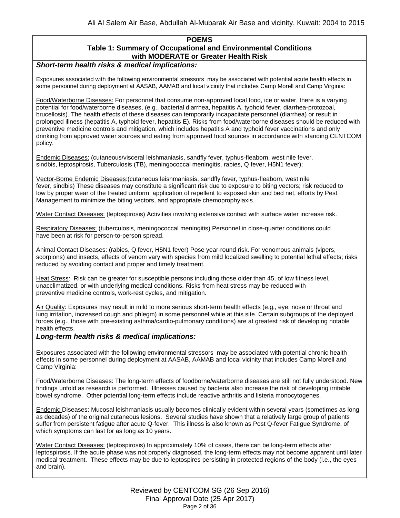## **POEMS Table 1: Summary of Occupational and Environmental Conditions with MODERATE or Greater Health Risk**

## *Short-term health risks & medical implications:*

Exposures associated with the following environmental stressors may be associated with potential acute health effects in some personnel during deployment at AASAB, AAMAB and local vicinity that includes Camp Morell and Camp Virginia:

Food/Waterborne Diseases: For personnel that consume non-approved local food, ice or water, there is a varying potential for food/waterborne diseases, (e.g., bacterial diarrhea, hepatitis A, typhoid fever, diarrhea-protozoal, brucellosis). The health effects of these diseases can temporarily incapacitate personnel (diarrhea) or result in prolonged illness (hepatitis A, typhoid fever, hepatitis E). Risks from food/waterborne diseases should be reduced with preventive medicine controls and mitigation, which includes hepatitis A and typhoid fever vaccinations and only drinking from approved water sources and eating from approved food sources in accordance with standing CENTCOM policy.

Endemic Diseases: (cutaneous/visceral leishmaniasis, sandfly fever, typhus-fleaborn, west nile fever, sindbis, leptospirosis, Tuberculosis (TB), meningococcal meningitis, rabies, Q fever, H5N1 fever);

Vector-Borne Endemic Diseases:(cutaneous leishmaniasis, sandfly fever, typhus-fleaborn, west nile fever, sindbis) These diseases may constitute a significant risk due to exposure to biting vectors; risk reduced to low by proper wear of the treated uniform, application of repellent to exposed skin and bed net, efforts by Pest Management to minimize the biting vectors, and appropriate chemoprophylaxis.

Water Contact Diseases: (leptospirosis) Activities involving extensive contact with surface water increase risk.

Respiratory Diseases: (tuberculosis, meningococcal meningitis) Personnel in close-quarter conditions could have been at risk for person-to-person spread.

Animal Contact Diseases: (rabies, Q fever, H5N1 fever) Pose year-round risk. For venomous animals (vipers, scorpions) and insects, effects of venom vary with species from mild localized swelling to potential lethal effects; risks reduced by avoiding contact and proper and timely treatment.

Heat Stress: Risk can be greater for susceptible persons including those older than 45, of low fitness level, unacclimatized, or with underlying medical conditions. Risks from heat stress may be reduced with preventive medicine controls, work-rest cycles, and mitigation.

Air Quality: Exposures may result in mild to more serious short-term health effects (e.g., eye, nose or throat and lung irritation, increased cough and phlegm) in some personnel while at this site. Certain subgroups of the deployed forces (e.g., those with pre-existing asthma/cardio-pulmonary conditions) are at greatest risk of developing notable health effects.

#### *Long-term health risks & medical implications:*

Exposures associated with the following environmental stressors may be associated with potential chronic health effects in some personnel during deployment at AASAB, AAMAB and local vicinity that includes Camp Morell and Camp Virginia:

Food/Waterborne Diseases: The long-term effects of foodborne/waterborne diseases are still not fully understood. New findings unfold as research is performed. Illnesses caused by bacteria also increase the risk of developing irritable bowel syndrome. Other potential long-term effects include reactive arthritis and listeria monocytogenes.

Endemic Diseases: Mucosal leishmaniasis usually becomes clinically evident within several years (sometimes as long as decades) of the original cutaneous lesions. Several studies have shown that a relatively large group of patients suffer from persistent fatigue after acute Q-fever. This illness is also known as Post Q-fever Fatigue Syndrome, of which symptoms can last for as long as 10 years.

Water Contact Diseases: (leptospirosis) In approximately 10% of cases, there can be long-term effects after leptospirosis. If the acute phase was not properly diagnosed, the long-term effects may not become apparent until later medical treatment. These effects may be due to leptospires persisting in protected regions of the body (i.e., the eyes and brain).

> Reviewed by CENTCOM SG (26 Sep 2016) Final Approval Date (25 Apr 2017) Page 2 of 36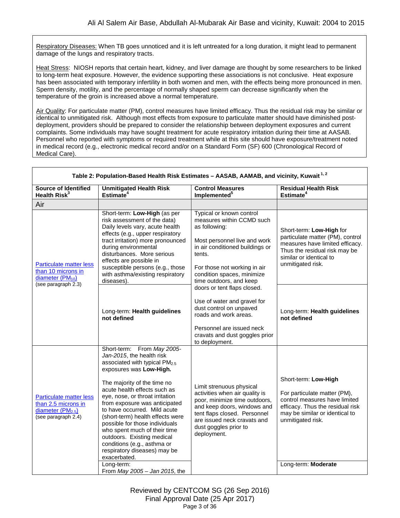Respiratory Diseases: When TB goes unnoticed and it is left untreated for a long duration, it might lead to permanent damage of the lungs and respiratory tracts.

Heat Stress: NIOSH reports that certain heart, kidney, and liver damage are thought by some researchers to be linked to long-term heat exposure. However, the evidence supporting these associations is not conclusive. Heat exposure has been associated with temporary infertility in both women and men, with the effects being more pronounced in men. Sperm density, motility, and the percentage of normally shaped sperm can decrease significantly when the temperature of the groin is increased above a normal temperature.

Air Quality: For particulate matter (PM), control measures have limited efficacy. Thus the residual risk may be similar or identical to unmitigated risk. Although most effects from exposure to particulate matter should have diminished postdeployment, providers should be prepared to consider the relationship between deployment exposures and current complaints. Some individuals may have sought treatment for acute respiratory irritation during their time at AASAB. Personnel who reported with symptoms or required treatment while at this site should have exposure/treatment noted in medical record (e.g., electronic medical record and/or on a Standard Form (SF) 600 (Chronological Record of Medical Care).

| Table 2: Population-Based Health Risk Estimates - AASAB, AAMAB, and vicinity, Kuwait <sup>1,2</sup>            |                                                                                                                                                                                                                                                                                                                                                                                                                                                                                                                                                                      |                                                                                                                                                                                                                                              |                                                                                                                                                                                                         |
|----------------------------------------------------------------------------------------------------------------|----------------------------------------------------------------------------------------------------------------------------------------------------------------------------------------------------------------------------------------------------------------------------------------------------------------------------------------------------------------------------------------------------------------------------------------------------------------------------------------------------------------------------------------------------------------------|----------------------------------------------------------------------------------------------------------------------------------------------------------------------------------------------------------------------------------------------|---------------------------------------------------------------------------------------------------------------------------------------------------------------------------------------------------------|
| Source of Identified<br>Health Risk <sup>3</sup>                                                               | <b>Unmitigated Health Risk</b><br>Estimate $4$                                                                                                                                                                                                                                                                                                                                                                                                                                                                                                                       | <b>Control Measures</b><br>Implemented <sup>5</sup>                                                                                                                                                                                          | <b>Residual Health Risk</b><br>Estimate <sup>4</sup>                                                                                                                                                    |
| Air                                                                                                            |                                                                                                                                                                                                                                                                                                                                                                                                                                                                                                                                                                      |                                                                                                                                                                                                                                              |                                                                                                                                                                                                         |
| <b>Particulate matter less</b><br>than 10 microns in<br>diameter (PM <sub>10</sub> )<br>(see paragraph $2.3$ ) | Short-term: Low-High (as per<br>risk assessment of the data)<br>Daily levels vary, acute health<br>effects (e.g., upper respiratory<br>tract irritation) more pronounced<br>during environmental<br>disturbances. More serious<br>effects are possible in<br>susceptible persons (e.g., those<br>with asthma/existing respiratory<br>diseases).                                                                                                                                                                                                                      | Typical or known control<br>measures within CCMD such<br>as following:<br>Most personnel live and work<br>in air conditioned buildings or<br>tents.<br>For those not working in air<br>condition spaces, minimize<br>time outdoors, and keep | Short-term: Low-High for<br>particulate matter (PM), control<br>measures have limited efficacy.<br>Thus the residual risk may be<br>similar or identical to<br>unmitigated risk.                        |
|                                                                                                                | Long-term: Health guidelines<br>not defined                                                                                                                                                                                                                                                                                                                                                                                                                                                                                                                          | doors or tent flaps closed.<br>Use of water and gravel for<br>dust control on unpaved<br>roads and work areas.<br>Personnel are issued neck<br>cravats and dust goggles prior<br>to deployment.                                              | Long-term: Health guidelines<br>not defined                                                                                                                                                             |
| <b>Particulate matter less</b><br>than 2.5 microns in<br>diameter (PM <sub>2.5</sub> )<br>(see paragraph 2.4)  | Short-term: From May 2005-<br>Jan-2015, the health risk<br>associated with typical PM <sub>2.5</sub><br>exposures was Low-High.<br>The majority of the time no<br>acute health effects such as<br>eye, nose, or throat irritation<br>from exposure was anticipated<br>to have occurred. Mild acute<br>(short-term) health effects were<br>possible for those individuals<br>who spent much of their time<br>outdoors. Existing medical<br>conditions (e.g., asthma or<br>respiratory diseases) may be<br>exacerbated.<br>Long-term:<br>From May 2005 - Jan 2015, the | Limit strenuous physical<br>activities when air quality is<br>poor, minimize time outdoors,<br>and keep doors, windows and<br>tent flaps closed. Personnel<br>are issued neck cravats and<br>dust goggles prior to<br>deployment.            | Short-term: Low-High<br>For particulate matter (PM),<br>control measures have limited<br>efficacy. Thus the residual risk<br>may be similar or identical to<br>unmitigated risk.<br>Long-term: Moderate |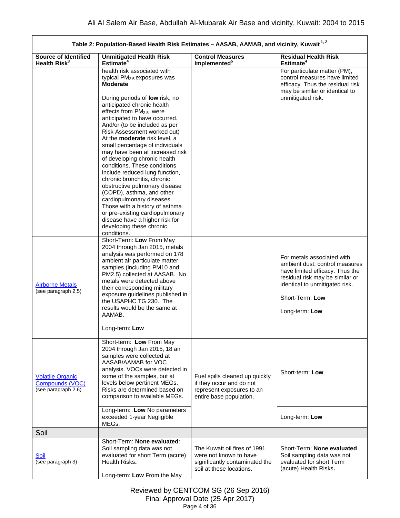$\Gamma$ 

| Table 2: Population-Based Health Risk Estimates - AASAB, AAMAB, and vicinity, Kuwait <sup>1,2</sup> |                                                                                                                                                                                                                                                                                                                                                                                                                                                                                                                                                          |                                                                                                                      |                                                                                                                                                                                                           |
|-----------------------------------------------------------------------------------------------------|----------------------------------------------------------------------------------------------------------------------------------------------------------------------------------------------------------------------------------------------------------------------------------------------------------------------------------------------------------------------------------------------------------------------------------------------------------------------------------------------------------------------------------------------------------|----------------------------------------------------------------------------------------------------------------------|-----------------------------------------------------------------------------------------------------------------------------------------------------------------------------------------------------------|
| <b>Source of Identified</b><br>Health $Risk^3$                                                      | <b>Unmitigated Health Risk</b><br>Estimate <sup>4</sup>                                                                                                                                                                                                                                                                                                                                                                                                                                                                                                  | <b>Control Measures</b><br>Implemented <sup>5</sup>                                                                  | <b>Residual Health Risk</b><br>Estimate <sup>4</sup>                                                                                                                                                      |
|                                                                                                     | health risk associated with<br>typical PM <sub>2.5</sub> exposures was<br><b>Moderate</b><br>During periods of low risk, no<br>anticipated chronic health<br>effects from PM <sub>2.5</sub> were<br>anticipated to have occurred.                                                                                                                                                                                                                                                                                                                        |                                                                                                                      | For particulate matter (PM),<br>control measures have limited<br>efficacy. Thus the residual risk<br>may be similar or identical to<br>unmitigated risk.                                                  |
|                                                                                                     | And/or (to be included as per<br>Risk Assessment worked out)<br>At the <b>moderate</b> risk level, a<br>small percentage of individuals<br>may have been at increased risk<br>of developing chronic health<br>conditions. These conditions<br>include reduced lung function,<br>chronic bronchitis, chronic<br>obstructive pulmonary disease<br>(COPD), asthma, and other<br>cardiopulmonary diseases.<br>Those with a history of asthma<br>or pre-existing cardiopulmonary<br>disease have a higher risk for<br>developing these chronic<br>conditions. |                                                                                                                      |                                                                                                                                                                                                           |
| <b>Airborne Metals</b><br>(see paragraph 2.5)                                                       | Short-Term: Low From May<br>2004 through Jan 2015, metals<br>analysis was performed on 178<br>ambient air particulate matter<br>samples (including PM10 and<br>PM2.5) collected at AASAB. No<br>metals were detected above<br>their corresponding military<br>exposure guidelines published in<br>the USAPHC TG 230. The<br>results would be the same at<br>AAMAB.<br>Long-term: Low                                                                                                                                                                     |                                                                                                                      | For metals associated with<br>ambient dust, control measures<br>have limited efficacy. Thus the<br>residual risk may be similar or<br>identical to unmitigated risk.<br>Short-Term: Low<br>Long-term: Low |
| <b>Volatile Organic</b><br>Compounds (VOC)<br>(see paragraph 2.6)                                   | Short-term: Low From May<br>2004 through Jan 2015, 18 air<br>samples were collected at<br>AASAB/AAMAB for VOC<br>analysis. VOCs were detected in<br>some of the samples, but at<br>levels below pertinent MEGs.<br>Risks are determined based on<br>comparison to available MEGs.<br>Long-term: Low No parameters                                                                                                                                                                                                                                        | Fuel spills cleaned up quickly<br>if they occur and do not<br>represent exposures to an<br>entire base population.   | Short-term: Low.                                                                                                                                                                                          |
|                                                                                                     | exceeded 1-year Negligible<br>MEGs.                                                                                                                                                                                                                                                                                                                                                                                                                                                                                                                      |                                                                                                                      | Long-term: Low                                                                                                                                                                                            |
| Soil                                                                                                |                                                                                                                                                                                                                                                                                                                                                                                                                                                                                                                                                          |                                                                                                                      |                                                                                                                                                                                                           |
| <u>Soil</u><br>(see paragraph 3)                                                                    | Short-Term: None evaluated:<br>Soil sampling data was not<br>evaluated for short Term (acute)<br>Health Risks.<br>Long-term: Low From the May                                                                                                                                                                                                                                                                                                                                                                                                            | The Kuwait oil fires of 1991<br>were not known to have<br>significantly contaminated the<br>soil at these locations. | Short-Term: None evaluated<br>Soil sampling data was not<br>evaluated for short Term<br>(acute) Health Risks.                                                                                             |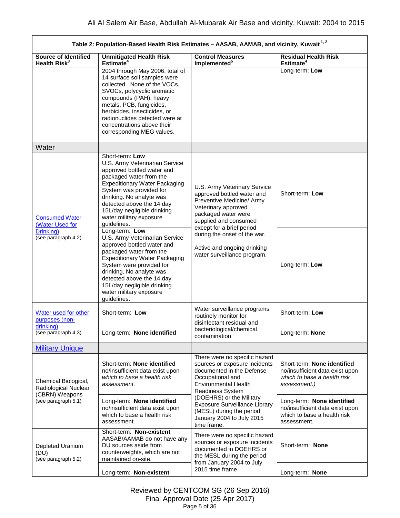| Table 2: Population-Based Health Risk Estimates - AASAB, AAMAB, and vicinity, Kuwait <sup>1,2</sup> |                                                                                                                                                                                                                                                                                                                  |                                                                                                                                                                                                                                                                                                                |                                                                                                               |
|-----------------------------------------------------------------------------------------------------|------------------------------------------------------------------------------------------------------------------------------------------------------------------------------------------------------------------------------------------------------------------------------------------------------------------|----------------------------------------------------------------------------------------------------------------------------------------------------------------------------------------------------------------------------------------------------------------------------------------------------------------|---------------------------------------------------------------------------------------------------------------|
| <b>Source of Identified</b><br>Health $Risk^3$                                                      | <b>Unmitigated Health Risk</b><br>Estimate <sup>4</sup>                                                                                                                                                                                                                                                          | <b>Control Measures</b><br>Implemented <sup>5</sup>                                                                                                                                                                                                                                                            | <b>Residual Health Risk</b><br>Estimate <sup>4</sup>                                                          |
|                                                                                                     | 2004 through May 2006, total of<br>14 surface soil samples were<br>collected. None of the VOCs,<br>SVOCs, polycyclic aromatic<br>compounds (PAH), heavy<br>metals, PCB, fungicides,<br>herbicides, insecticides, or<br>radionuclides detected were at<br>concentrations above their<br>corresponding MEG values. |                                                                                                                                                                                                                                                                                                                | Long-term: Low                                                                                                |
| Water                                                                                               |                                                                                                                                                                                                                                                                                                                  |                                                                                                                                                                                                                                                                                                                |                                                                                                               |
| <b>Consumed Water</b><br>(Water Used for                                                            | Short-term: Low<br>U.S. Army Veterinarian Service<br>approved bottled water and<br>packaged water from the<br><b>Expeditionary Water Packaging</b><br>System was provided for<br>drinking. No analyte was<br>detected above the 14 day<br>15L/day negligible drinking<br>water military exposure<br>guidelines.  | U.S. Army Veterinary Service<br>approved bottled water and<br>Preventive Medicine/ Army<br>Veterinary approved<br>packaged water were<br>supplied and consumed<br>except for a brief period                                                                                                                    | Short-term: Low                                                                                               |
| Drinking)<br>(see paragraph 4.2)                                                                    | Long-term: Low<br>U.S. Army Veterinarian Service<br>approved bottled water and<br>packaged water from the<br><b>Expeditionary Water Packaging</b><br>System were provided for<br>drinking. No analyte was<br>detected above the 14 day<br>15L/day negligible drinking<br>water military exposure<br>guidelines.  | during the onset of the war.<br>Active and ongoing drinking<br>water surveillance program.                                                                                                                                                                                                                     | Long-term: Low                                                                                                |
| Water used for other<br>purposes (non-                                                              | Short-term: Low                                                                                                                                                                                                                                                                                                  | Water surveillance programs<br>routinely monitor for<br>disinfectant residual and                                                                                                                                                                                                                              | Short-term: Low                                                                                               |
| drinking)<br>(see paragraph 4.3)                                                                    | Long-term: None identified                                                                                                                                                                                                                                                                                       | bacteriological/chemical<br>contamination                                                                                                                                                                                                                                                                      | Long-term: None                                                                                               |
| <b>Military Unique</b>                                                                              |                                                                                                                                                                                                                                                                                                                  |                                                                                                                                                                                                                                                                                                                |                                                                                                               |
| Chemical Biological,<br>Radiological Nuclear<br>(CBRN) Weapons<br>(see paragraph 5.1)               | Short-term: None identified<br>no/insufficient data exist upon<br>which to base a health risk<br>assessment.                                                                                                                                                                                                     | There were no specific hazard<br>sources or exposure incidents<br>documented in the Defense<br>Occupational and<br><b>Environmental Health</b><br>Readiness System<br>(DOEHRS) or the Military<br><b>Exposure Surveillance Library</b><br>(MESL) during the period<br>January 2004 to July 2015<br>time frame. | Short-term: None identified<br>no/insufficient data exist upon<br>which to base a health risk<br>assessment.) |
|                                                                                                     | Long-term: None identified<br>no/insufficient data exist upon<br>which to base a health risk<br>assessment.                                                                                                                                                                                                      |                                                                                                                                                                                                                                                                                                                | Long-term: None identified<br>no/insufficient data exist upon<br>which to base a health risk<br>assessment.   |
| Depleted Uranium<br>(DU)<br>(see paragraph 5.2)                                                     | Short-term: Non-existent<br>AASAB/AAMAB do not have any<br>DU sources aside from<br>counterweights, which are not<br>maintained on-site.                                                                                                                                                                         | There were no specific hazard<br>sources or exposure incidents<br>documented in DOEHRS or<br>the MESL during the period<br>from January 2004 to July<br>2015 time frame.                                                                                                                                       | Short-term: None                                                                                              |
|                                                                                                     | Long-term: Non-existent                                                                                                                                                                                                                                                                                          |                                                                                                                                                                                                                                                                                                                | Long-term: None                                                                                               |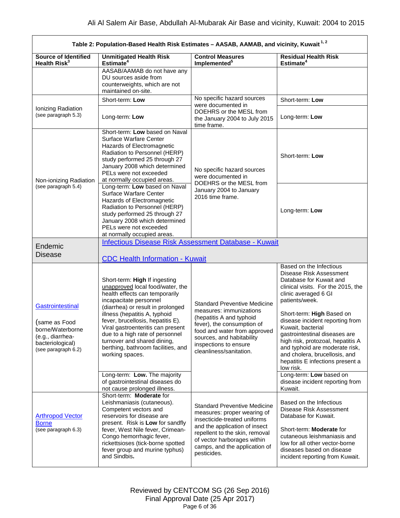<span id="page-5-0"></span>

| Table 2: Population-Based Health Risk Estimates - AASAB, AAMAB, and vicinity, Kuwait <sup>1,2</sup>                  |                                                                                                                                                                                                                                                                                                                                                                                                                                                                             |                                                                                                                                                                                                                                                      |                                                                                                                                                                                                                                                                                                                                                                                                                                                                                                            |
|----------------------------------------------------------------------------------------------------------------------|-----------------------------------------------------------------------------------------------------------------------------------------------------------------------------------------------------------------------------------------------------------------------------------------------------------------------------------------------------------------------------------------------------------------------------------------------------------------------------|------------------------------------------------------------------------------------------------------------------------------------------------------------------------------------------------------------------------------------------------------|------------------------------------------------------------------------------------------------------------------------------------------------------------------------------------------------------------------------------------------------------------------------------------------------------------------------------------------------------------------------------------------------------------------------------------------------------------------------------------------------------------|
| Source of Identified<br>Health Risk <sup>3</sup>                                                                     | <b>Unmitigated Health Risk</b><br>Estimate <sup>4</sup>                                                                                                                                                                                                                                                                                                                                                                                                                     | <b>Control Measures</b><br>Implemented <sup>5</sup>                                                                                                                                                                                                  | <b>Residual Health Risk</b><br>Estimate <sup>4</sup>                                                                                                                                                                                                                                                                                                                                                                                                                                                       |
|                                                                                                                      | AASAB/AAMAB do not have any<br>DU sources aside from<br>counterweights, which are not<br>maintained on-site.                                                                                                                                                                                                                                                                                                                                                                |                                                                                                                                                                                                                                                      |                                                                                                                                                                                                                                                                                                                                                                                                                                                                                                            |
|                                                                                                                      | Short-term: Low                                                                                                                                                                                                                                                                                                                                                                                                                                                             | No specific hazard sources<br>were documented in                                                                                                                                                                                                     | Short-term: Low                                                                                                                                                                                                                                                                                                                                                                                                                                                                                            |
| Ionizing Radiation<br>(see paragraph 5.3)                                                                            | Long-term: Low                                                                                                                                                                                                                                                                                                                                                                                                                                                              | DOEHRS or the MESL from<br>the January 2004 to July 2015<br>time frame.                                                                                                                                                                              | Long-term: Low                                                                                                                                                                                                                                                                                                                                                                                                                                                                                             |
| Non-ionizing Radiation                                                                                               | Short-term: Low based on Naval<br>Surface Warfare Center<br>Hazards of Electromagnetic<br>Radiation to Personnel (HERP)<br>study performed 25 through 27<br>January 2008 which determined<br>PELs were not exceeded<br>at normally occupied areas.                                                                                                                                                                                                                          | No specific hazard sources<br>were documented in<br>DOEHRS or the MESL from                                                                                                                                                                          | Short-term: Low                                                                                                                                                                                                                                                                                                                                                                                                                                                                                            |
| (see paragraph 5.4)                                                                                                  | Long-term: Low based on Naval<br>Surface Warfare Center<br>Hazards of Electromagnetic<br>Radiation to Personnel (HERP)<br>study performed 25 through 27<br>January 2008 which determined<br>PELs were not exceeded<br>at normally occupied areas.                                                                                                                                                                                                                           | January 2004 to January<br>2016 time frame.                                                                                                                                                                                                          | Long-term: Low                                                                                                                                                                                                                                                                                                                                                                                                                                                                                             |
| Endemic                                                                                                              | <b>Infectious Disease Risk Assessment Database - Kuwait</b>                                                                                                                                                                                                                                                                                                                                                                                                                 |                                                                                                                                                                                                                                                      |                                                                                                                                                                                                                                                                                                                                                                                                                                                                                                            |
| <b>Disease</b>                                                                                                       | <b>CDC Health Information - Kuwait</b>                                                                                                                                                                                                                                                                                                                                                                                                                                      |                                                                                                                                                                                                                                                      |                                                                                                                                                                                                                                                                                                                                                                                                                                                                                                            |
| Gastrointestinal<br>(same as Food<br>borne/Waterborne<br>(e.g., diarrhea-<br>bacteriological)<br>(see paragraph 6.2) | Short-term: High If ingesting<br>unapproved local food/water, the<br>health effects can temporarily<br>incapacitate personnel<br>(diarrhea) or result in prolonged<br>illness (hepatitis A, typhoid<br>fever, brucellosis, hepatitis E).<br>Viral gastroenteritis can present<br>due to a high rate of personnel<br>turnover and shared dining,<br>berthing, bathroom facilities, and<br>working spaces.<br>Long-term: Low. The majority<br>of gastrointestinal diseases do | <b>Standard Preventive Medicine</b><br>measures: immunizations<br>(hepatitis A and typhoid<br>fever), the consumption of<br>food and water from approved<br>sources, and habitability<br>inspections to ensure<br>cleanliness/sanitation.            | Based on the Infectious<br>Disease Risk Assessment<br>Database for Kuwait and<br>clinical visits. For the 2015, the<br>clinic averaged 6 GI<br>patients/week.<br>Short-term: High Based on<br>disease incident reporting from<br>Kuwait, bacterial<br>gastrointestinal diseases are<br>high risk, protozoal, hepatitis A<br>and typhoid are moderate risk,<br>and cholera, brucellosis, and<br>hepatitis E infections present a<br>low risk.<br>Long-term: Low based on<br>disease incident reporting from |
|                                                                                                                      | not cause prolonged illness.<br>Short-term: Moderate for                                                                                                                                                                                                                                                                                                                                                                                                                    |                                                                                                                                                                                                                                                      | Kuwait.                                                                                                                                                                                                                                                                                                                                                                                                                                                                                                    |
| <b>Arthropod Vector</b><br><b>Borne</b><br>(see paragraph 6.3)                                                       | Leishmaniasis (cutaneous).<br>Competent vectors and<br>reservoirs for disease are<br>present. Risk is Low for sandfly<br>fever, West Nile fever, Crimean-<br>Congo hemorrhagic fever,<br>rickettsioses (tick-borne spotted<br>fever group and murine typhus)<br>and Sindbis.                                                                                                                                                                                                | <b>Standard Preventive Medicine</b><br>measures: proper wearing of<br>insecticide-treated uniforms<br>and the application of insect<br>repellent to the skin, removal<br>of vector harborages within<br>camps, and the application of<br>pesticides. | Based on the Infectious<br>Disease Risk Assessment<br>Database for Kuwait.<br>Short-term: Moderate for<br>cutaneous leishmaniasis and<br>low for all other vector-borne<br>diseases based on disease<br>incident reporting from Kuwait.                                                                                                                                                                                                                                                                    |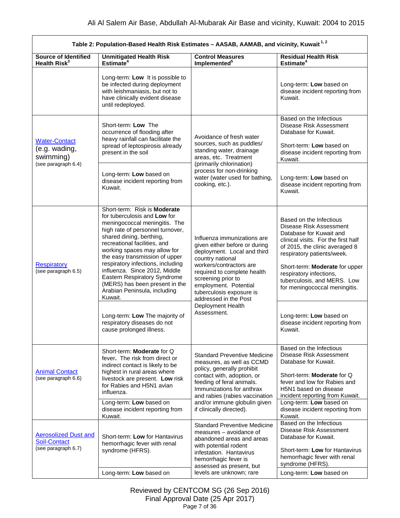<span id="page-6-2"></span><span id="page-6-1"></span><span id="page-6-0"></span> $\Gamma$ 

| Table 2: Population-Based Health Risk Estimates - AASAB, AAMAB, and vicinity, Kuwait <sup>1,2</sup> |                                                                                                                                                                                                                                                                                                                                                                                                                                                                                                                     |                                                                                                                                                                                                                                                                                                                   |                                                                                                                                                                                                                                                                                                                                                                                            |
|-----------------------------------------------------------------------------------------------------|---------------------------------------------------------------------------------------------------------------------------------------------------------------------------------------------------------------------------------------------------------------------------------------------------------------------------------------------------------------------------------------------------------------------------------------------------------------------------------------------------------------------|-------------------------------------------------------------------------------------------------------------------------------------------------------------------------------------------------------------------------------------------------------------------------------------------------------------------|--------------------------------------------------------------------------------------------------------------------------------------------------------------------------------------------------------------------------------------------------------------------------------------------------------------------------------------------------------------------------------------------|
| <b>Source of Identified</b><br>Health Risk <sup>3</sup>                                             | <b>Unmitigated Health Risk</b><br>Estimate <sup>4</sup>                                                                                                                                                                                                                                                                                                                                                                                                                                                             | <b>Control Measures</b><br>Implemented <sup>5</sup>                                                                                                                                                                                                                                                               | <b>Residual Health Risk</b><br>Estimate <sup>4</sup>                                                                                                                                                                                                                                                                                                                                       |
|                                                                                                     | Long-term: Low It is possible to<br>be infected during deployment<br>with leishmaniasis, but not to<br>have clinically evident disease<br>until redeployed.                                                                                                                                                                                                                                                                                                                                                         |                                                                                                                                                                                                                                                                                                                   | Long-term: Low based on<br>disease incident reporting from<br>Kuwait.                                                                                                                                                                                                                                                                                                                      |
| <b>Water-Contact</b><br>(e.g. wading,<br>swimming)<br>(see paragraph 6.4)                           | Short-term: Low The<br>occurrence of flooding after<br>heavy rainfall can facilitate the<br>spread of leptospirosis already<br>present in the soil                                                                                                                                                                                                                                                                                                                                                                  | Avoidance of fresh water<br>sources, such as puddles/<br>standing water, drainage<br>areas, etc. Treatment<br>(primarily chlorination)                                                                                                                                                                            | Based on the Infectious<br>Disease Risk Assessment<br>Database for Kuwait.<br>Short-term: Low based on<br>disease incident reporting from<br>Kuwait.                                                                                                                                                                                                                                       |
|                                                                                                     | Long-term: Low based on<br>disease incident reporting from<br>Kuwait.                                                                                                                                                                                                                                                                                                                                                                                                                                               | process for non-drinking<br>water (water used for bathing,<br>cooking, etc.).                                                                                                                                                                                                                                     | Long-term: Low based on<br>disease incident reporting from<br>Kuwait.                                                                                                                                                                                                                                                                                                                      |
| <b>Respiratory</b><br>(see paragraph 6.5)                                                           | Short-term: Risk is Moderate<br>for tuberculosis and Low for<br>meningococcal meningitis. The<br>high rate of personnel turnover,<br>shared dining, berthing,<br>recreational facilities, and<br>working spaces may allow for<br>the easy transmission of upper<br>respiratory infections, including<br>influenza. Since 2012, Middle<br>Eastern Respiratory Syndrome<br>(MERS) has been present in the<br>Arabian Peninsula, including<br>Kuwait.<br>Long-term: Low The majority of<br>respiratory diseases do not | Influenza immunizations are<br>given either before or during<br>deployment. Local and third<br>country national<br>workers/contractors are<br>required to complete health<br>screening prior to<br>employment. Potential<br>tuberculosis exposure is<br>addressed in the Post<br>Deployment Health<br>Assessment. | Based on the Infectious<br>Disease Risk Assessment<br>Database for Kuwait and<br>clinical visits. For the first half<br>of 2015, the clinic averaged 8<br>respiratory patients/week.<br>Short-term: Moderate for upper<br>respiratory infections,<br>tuberculosis, and MERS. Low<br>for meningococcal meningitis.<br>Long-term: Low based on<br>disease incident reporting from<br>Kuwait. |
| <b>Animal Contact</b><br>(see paragraph 6.6)                                                        | cause prolonged illness.<br>Short-term: Moderate for Q<br>fever. The risk from direct or<br>indirect contact is likely to be<br>highest in rural areas where<br>livestock are present. Low risk<br>for Rabies and H5N1 avian<br>influenza.<br>Long-term: Low based on<br>disease incident reporting from                                                                                                                                                                                                            | <b>Standard Preventive Medicine</b><br>measures, as well as CCMD<br>policy, generally prohibit<br>contact with, adoption, or<br>feeding of feral animals.<br>Immunizations for anthrax<br>and rabies (rabies vaccination<br>and/or immune globulin given<br>if clinically directed).                              | Based on the Infectious<br>Disease Risk Assessment<br>Database for Kuwait.<br>Short-term: Moderate for Q<br>fever and low for Rabies and<br>H5N1 based on disease<br>incident reporting from Kuwait.<br>Long-term: Low based on<br>disease incident reporting from                                                                                                                         |
| <b>Aerosolized Dust and</b><br><b>Soil-Contact</b><br>(see paragraph 6.7)                           | Kuwait.<br>Short-term: Low for Hantavirus<br>hemorrhagic fever with renal<br>syndrome (HFRS).<br>Long-term: Low based on                                                                                                                                                                                                                                                                                                                                                                                            | <b>Standard Preventive Medicine</b><br>measures - avoidance of<br>abandoned areas and areas<br>with potential rodent<br>infestation. Hantavirus<br>hemorrhagic fever is<br>assessed as present, but<br>levels are unknown; rare                                                                                   | Kuwait.<br>Based on the Infectious<br>Disease Risk Assessment<br>Database for Kuwait.<br>Short-term: Low for Hantavirus<br>hemorrhagic fever with renal<br>syndrome (HFRS).<br>Long-term: Low based on                                                                                                                                                                                     |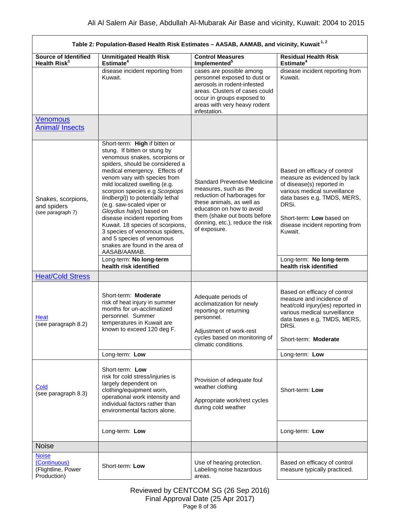<span id="page-7-0"></span>

| Table 2: Population-Based Health Risk Estimates - AASAB, AAMAB, and vicinity, Kuwait <sup>1,2</sup> |                                                                                                                                                                                                                                                                                                                                                                                                                                                                                                                                                                                                                   |                                                                                                                                                                                                                                          |                                                                                                                                                                                                                                                                                                  |
|-----------------------------------------------------------------------------------------------------|-------------------------------------------------------------------------------------------------------------------------------------------------------------------------------------------------------------------------------------------------------------------------------------------------------------------------------------------------------------------------------------------------------------------------------------------------------------------------------------------------------------------------------------------------------------------------------------------------------------------|------------------------------------------------------------------------------------------------------------------------------------------------------------------------------------------------------------------------------------------|--------------------------------------------------------------------------------------------------------------------------------------------------------------------------------------------------------------------------------------------------------------------------------------------------|
| <b>Source of Identified</b><br>Health Risk <sup>3</sup>                                             | <b>Unmitigated Health Risk</b><br>Estimate <sup>4</sup>                                                                                                                                                                                                                                                                                                                                                                                                                                                                                                                                                           | <b>Control Measures</b><br>Implemented <sup>5</sup>                                                                                                                                                                                      | <b>Residual Health Risk</b><br>Estimate <sup>4</sup>                                                                                                                                                                                                                                             |
|                                                                                                     | disease incident reporting from<br>Kuwait.                                                                                                                                                                                                                                                                                                                                                                                                                                                                                                                                                                        | cases are possible among<br>personnel exposed to dust or<br>aerosols in rodent-infested<br>areas. Clusters of cases could<br>occur in groups exposed to<br>areas with very heavy rodent<br>infestation.                                  | disease incident reporting from<br>Kuwait.                                                                                                                                                                                                                                                       |
| <b>Venomous</b><br><b>Animal/Insects</b>                                                            |                                                                                                                                                                                                                                                                                                                                                                                                                                                                                                                                                                                                                   |                                                                                                                                                                                                                                          |                                                                                                                                                                                                                                                                                                  |
| Snakes, scorpions,<br>and spiders<br>(see paragraph 7)                                              | Short-term: High if bitten or<br>stung. If bitten or stung by<br>venomous snakes, scorpions or<br>spiders, should be considered a<br>medical emergency. Effects of<br>venom vary with species from<br>mild localized swelling (e.g.<br>scorpion species e.g Scorpiops<br>lindbergi)) to potentially lethal<br>(e.g. saw-scaled viper or<br>Gloydius halys) based on<br>disease incident reporting from<br>Kuwait. 18 species of scorpions,<br>3 species of venomous spiders,<br>and 5 species of venomous<br>snakes are found in the area of<br>AASAB/AAMAB.<br>Long-term: No long-term<br>health risk identified | <b>Standard Preventive Medicine</b><br>measures, such as the<br>reduction of harborages for<br>these animals, as well as<br>education on how to avoid<br>them (shake out boots before<br>donning, etc.), reduce the risk<br>of exposure. | Based on efficacy of control<br>measure as evidenced by lack<br>of disease(s) reported in<br>various medical surveillance<br>data bases e.g, TMDS, MERS,<br>DRSi.<br>Short-term: Low based on<br>disease incident reporting from<br>Kuwait.<br>Long-term: No long-term<br>health risk identified |
| <b>Heat/Cold Stress</b>                                                                             |                                                                                                                                                                                                                                                                                                                                                                                                                                                                                                                                                                                                                   |                                                                                                                                                                                                                                          |                                                                                                                                                                                                                                                                                                  |
| Heat<br>(see paragraph 8.2)                                                                         | Short-term: Moderate<br>risk of heat injury in summer<br>months for un-acclimatized<br>personnel. Summer<br>temperatures in Kuwait are<br>known to exceed 120 deg F.                                                                                                                                                                                                                                                                                                                                                                                                                                              | Adequate periods of<br>acclimatization for newly<br>reporting or returning<br>personnel.<br>Adjustment of work-rest<br>cycles based on monitoring of<br>climatic conditions.                                                             | Based on efficacy of control<br>measure and incidence of<br>heat/cold injury(ies) reported in<br>various medical surveillance<br>data bases e.g, TMDS, MERS,<br>DRSi.<br>Short-term: Moderate                                                                                                    |
|                                                                                                     | Long-term: Low                                                                                                                                                                                                                                                                                                                                                                                                                                                                                                                                                                                                    |                                                                                                                                                                                                                                          | Long-term: Low                                                                                                                                                                                                                                                                                   |
| Cold<br>(see paragraph 8.3)                                                                         | Short-term: Low<br>risk for cold stress/injuries is<br>largely dependent on<br>clothing/equipment worn,<br>operational work intensity and<br>individual factors rather than<br>environmental factors alone.                                                                                                                                                                                                                                                                                                                                                                                                       | Provision of adequate foul<br>weather clothing<br>Appropriate work/rest cycles<br>during cold weather                                                                                                                                    | Short-term: Low                                                                                                                                                                                                                                                                                  |
|                                                                                                     | Long-term: Low                                                                                                                                                                                                                                                                                                                                                                                                                                                                                                                                                                                                    |                                                                                                                                                                                                                                          | Long-term: Low                                                                                                                                                                                                                                                                                   |
| <b>Noise</b>                                                                                        |                                                                                                                                                                                                                                                                                                                                                                                                                                                                                                                                                                                                                   |                                                                                                                                                                                                                                          |                                                                                                                                                                                                                                                                                                  |
| <b>Noise</b><br>(Continuous)<br>(Flightline, Power<br>Production)                                   | Short-term: Low                                                                                                                                                                                                                                                                                                                                                                                                                                                                                                                                                                                                   | Use of hearing protection.<br>Labeling noise hazardous<br>areas.                                                                                                                                                                         | Based on efficacy of control<br>measure typically practiced.                                                                                                                                                                                                                                     |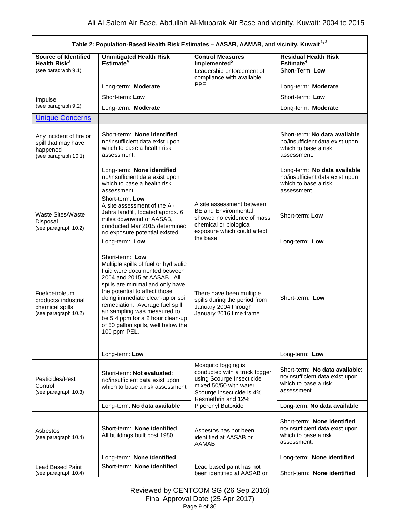|                                                                                    | Table 2: Population-Based Health Risk Estimates - AASAB, AAMAB, and vicinity, Kuwait <sup>1,2</sup>                                                                                                                                                                                                                                                                                            |                                                                                                                                                                 |                                                                                                          |
|------------------------------------------------------------------------------------|------------------------------------------------------------------------------------------------------------------------------------------------------------------------------------------------------------------------------------------------------------------------------------------------------------------------------------------------------------------------------------------------|-----------------------------------------------------------------------------------------------------------------------------------------------------------------|----------------------------------------------------------------------------------------------------------|
| <b>Source of Identified</b><br>Health Risk <sup>3</sup>                            | <b>Unmitigated Health Risk</b><br>Estimate $4$                                                                                                                                                                                                                                                                                                                                                 | <b>Control Measures</b><br>Implemented <sup>5</sup>                                                                                                             | <b>Residual Health Risk</b><br>Estimate <sup>4</sup>                                                     |
| (see paragraph 9.1)                                                                |                                                                                                                                                                                                                                                                                                                                                                                                | Leadership enforcement of<br>compliance with available                                                                                                          | Short-Term: Low                                                                                          |
|                                                                                    | Long-term: Moderate                                                                                                                                                                                                                                                                                                                                                                            | PPE.                                                                                                                                                            | Long-term: Moderate                                                                                      |
| Impulse                                                                            | Short-term: Low                                                                                                                                                                                                                                                                                                                                                                                |                                                                                                                                                                 | Short-term: Low                                                                                          |
| (see paragraph 9.2)                                                                | Long-term: Moderate                                                                                                                                                                                                                                                                                                                                                                            |                                                                                                                                                                 | Long-term: Moderate                                                                                      |
| <b>Unique Concerns</b>                                                             |                                                                                                                                                                                                                                                                                                                                                                                                |                                                                                                                                                                 |                                                                                                          |
| Any incident of fire or<br>spill that may have<br>happened<br>(see paragraph 10.1) | Short-term: None identified<br>no/insufficient data exist upon<br>which to base a health risk<br>assessment.                                                                                                                                                                                                                                                                                   |                                                                                                                                                                 | Short-term: No data available<br>no/insufficient data exist upon<br>which to base a risk<br>assessment.  |
|                                                                                    | Long-term: None identified<br>no/insufficient data exist upon<br>which to base a health risk<br>assessment.                                                                                                                                                                                                                                                                                    |                                                                                                                                                                 | Long-term: No data available<br>no/insufficient data exist upon<br>which to base a risk<br>assessment.   |
| <b>Waste Sites/Waste</b><br>Disposal<br>(see paragraph 10.2)                       | Short-term: Low<br>A site assessment of the Al-<br>Jahra landfill, located approx. 6<br>miles downwind of AASAB,<br>conducted Mar 2015 determined<br>no exposure potential existed.                                                                                                                                                                                                            | A site assessment between<br><b>BE and Environmental</b><br>showed no evidence of mass<br>chemical or biological<br>exposure which could affect                 | Short-term: Low                                                                                          |
|                                                                                    | Long-term: Low                                                                                                                                                                                                                                                                                                                                                                                 | the base.                                                                                                                                                       | Long-term: Low                                                                                           |
| Fuel/petroleum<br>products/ industrial<br>chemical spills<br>(see paragraph 10.2)  | Short-term: Low<br>Multiple spills of fuel or hydraulic<br>fluid were documented between<br>2004 and 2015 at AASAB. All<br>spills are minimal and only have<br>the potential to affect those<br>doing immediate clean-up or soil<br>remediation. Average fuel spill<br>air sampling was measured to<br>be 5.4 ppm for a 2 hour clean-up<br>of 50 gallon spills, well below the<br>100 ppm PEL. | There have been multiple<br>spills during the period from<br>January 2004 through<br>January 2016 time frame.                                                   | Short-term: Low                                                                                          |
|                                                                                    | Long-term: Low                                                                                                                                                                                                                                                                                                                                                                                 |                                                                                                                                                                 | Long-term: Low                                                                                           |
| Pesticides/Pest<br>Control<br>(see paragraph 10.3)                                 | Short-term: Not evaluated:<br>no/insufficient data exist upon<br>which to base a risk assessment                                                                                                                                                                                                                                                                                               | Mosquito fogging is<br>conducted with a truck fogger<br>using Scourge Insecticide<br>mixed 50/50 with water.<br>Scourge insecticide is 4%<br>Resmethrin and 12% | Short-term: No data available:<br>no/insufficient data exist upon<br>which to base a risk<br>assessment. |
|                                                                                    | Long-term: No data available                                                                                                                                                                                                                                                                                                                                                                   | Piperonyl Butoxide                                                                                                                                              | Long-term: No data available                                                                             |
| Asbestos<br>(see paragraph 10.4)                                                   | Short-term: None identified<br>All buildings built post 1980.                                                                                                                                                                                                                                                                                                                                  | Asbestos has not been<br>identified at AASAB or<br>AAMAB.                                                                                                       | Short-term: None identified<br>no/insufficient data exist upon<br>which to base a risk<br>assessment.    |
|                                                                                    | Long-term: None identified                                                                                                                                                                                                                                                                                                                                                                     |                                                                                                                                                                 | Long-term: None identified                                                                               |
| <b>Lead Based Paint</b><br>(see paragraph 10.4)                                    | Short-term: None identified                                                                                                                                                                                                                                                                                                                                                                    | Lead based paint has not<br>been identified at AASAB or                                                                                                         | Short-term: None identified                                                                              |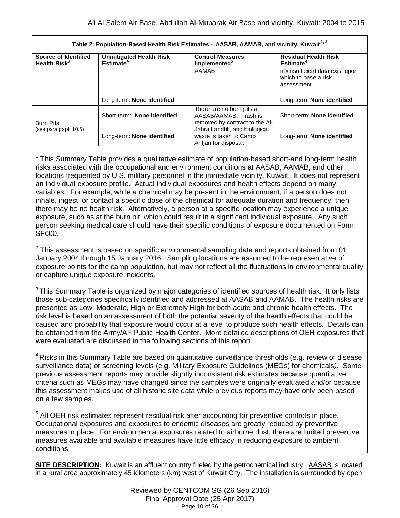| Table 2: Population-Based Health Risk Estimates - AASAB, AAMAB, and vicinity, Kuwait <sup>1,2</sup> |                                                         |                                                                                      |                                                                        |
|-----------------------------------------------------------------------------------------------------|---------------------------------------------------------|--------------------------------------------------------------------------------------|------------------------------------------------------------------------|
| Source of Identified<br>Health Risk <sup>3</sup>                                                    | <b>Unmitigated Health Risk</b><br>Estimate <sup>4</sup> | <b>Control Measures</b><br>Implemented <sup>5</sup>                                  | <b>Residual Health Risk</b><br>Estimate <sup>4</sup>                   |
|                                                                                                     |                                                         | AAMAB.                                                                               | no/insufficient data exist upon<br>which to base a risk<br>assessment. |
|                                                                                                     | Long-term: None identified                              |                                                                                      | Long-term: None identified                                             |
| <b>Burn Pits</b><br>(see paragraph 10.5)                                                            | Short-term: None identified                             | There are no burn pits at<br>AASAB/AAMAB. Trash is<br>removed by contract to the AI- | Short-term: None identified                                            |
|                                                                                                     | Long-term: None identified                              | Jahra Landfill, and biological<br>waste is taken to Camp<br>Arifjan for disposal.    | Long-term: None identified                                             |

 $1$  This Summary Table provides a qualitative estimate of population-based short-and long-term health risks associated with the occupational and environment conditions at AASAB, AAMAB, and other locations frequented by U.S. military personnel in the immediate vicinity, Kuwait. It does not represent an individual exposure profile. Actual individual exposures and health effects depend on many variables. For example, while a chemical may be present in the environment, if a person does not inhale, ingest, or contact a specific dose of the chemical for adequate duration and frequency, then there may be no health risk. Alternatively, a person at a specific location may experience a unique exposure, such as at the burn pit, which could result in a significant individual exposure. Any such person seeking medical care should have their specific conditions of exposure documented on Form SF600.

 $2$  This assessment is based on specific environmental sampling data and reports obtained from 01 January 2004 through 15 January 2016. Sampling locations are assumed to be representative of exposure points for the camp population, but may not reflect all the fluctuations in environmental quality or capture unique exposure incidents.

<sup>3</sup> This Summary Table is organized by major categories of identified sources of health risk. It only lists those sub-categories specifically identified and addressed at AASAB and AAMAB. The health risks are presented as Low, Moderate, High or Extremely High for both acute and chronic health effects. The risk level is based on an assessment of both the potential severity of the health effects that could be caused and probability that exposure would occur at a level to produce such health effects. Details can be obtained from the Army/AF Public Health Center. More detailed descriptions of OEH exposures that were evaluated are discussed in the following sections of this report.

<sup>4</sup> Risks in this Summary Table are based on quantitative surveillance thresholds (e.g. review of disease surveillance data) or screening levels (e.g. Military Exposure Guidelines (MEGs) for chemicals*).* Some previous assessment reports may provide slightly inconsistent risk estimates because quantitative criteria such as MEGs may have changed since the samples were originally evaluated and/or because this assessment makes use of all historic site data while previous reports may have only been based on a few samples.

<sup>5</sup> All OEH risk estimates represent residual risk after accounting for preventive controls in place. Occupational exposures and exposures to endemic diseases are greatly reduced by preventive measures in place. For environmental exposures related to airborne dust, there are limited preventive measures available and available measures have little efficacy in reducing exposure to ambient conditions.

**SITE DESCRIPTION:** Kuwait is an affluent country fueled by the petrochemical industry. AASAB is located in a rural area approximately 45 kilometers (km) west of Kuwait City. The installation is surrounded by open

> Reviewed by CENTCOM SG (26 Sep 2016) Final Approval Date (25 Apr 2017) Page 10 of 36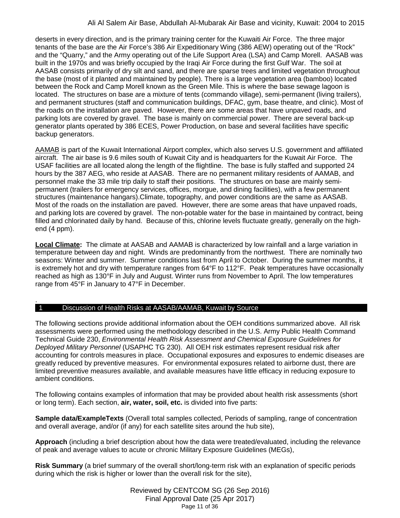deserts in every direction, and is the primary training center for the Kuwaiti Air Force. The three major tenants of the base are the Air Force's 386 Air Expeditionary Wing (386 AEW) operating out of the "Rock" and the "Quarry," and the Army operating out of the Life Support Area (LSA) and Camp Morell. AASAB was built in the 1970s and was briefly occupied by the Iraqi Air Force during the first Gulf War. The soil at AASAB consists primarily of dry silt and sand, and there are sparse trees and limited vegetation throughout the base (most of it planted and maintained by people). There is a large vegetation area (bamboo) located between the Rock and Camp Morell known as the Green Mile. This is where the base sewage lagoon is located. The structures on base are a mixture of tents (commando village), semi-permanent (living trailers), and permanent structures (staff and communication buildings, DFAC, gym, base theatre, and clinic). Most of the roads on the installation are paved. However, there are some areas that have unpaved roads, and parking lots are covered by gravel. The base is mainly on commercial power. There are several back-up generator plants operated by 386 ECES, Power Production, on base and several facilities have specific backup generators.

AAMAB is part of the Kuwait International Airport complex, which also serves U.S. government and affiliated aircraft. The air base is 9.6 miles south of Kuwait City and is headquarters for the Kuwait Air Force. The USAF facilities are all located along the length of the flightline. The base is fully staffed and supported 24 hours by the 387 AEG, who reside at AASAB. There are no permanent military residents of AAMAB, and personnel make the 33 mile trip daily to staff their positions. The structures on base are mainly semipermanent (trailers for emergency services, offices, morgue, and dining facilities), with a few permanent structures (maintenance hangars).Climate, topography, and power conditions are the same as AASAB. Most of the roads on the installation are paved. However, there are some areas that have unpaved roads, and parking lots are covered by gravel. The non-potable water for the base in maintained by contract, being filled and chlorinated daily by hand. Because of this, chlorine levels fluctuate greatly, generally on the highend (4 ppm).

**Local Climate:** The climate at AASAB and AAMAB is characterized by low rainfall and a large variation in temperature between day and night. Winds are predominantly from the northwest. There are nominally two seasons: Winter and summer. Summer conditions last from April to October. During the summer months, it is extremely hot and dry with temperature ranges from 64°F to 112°F. Peak temperatures have occasionally reached as high as 130°F in July and August. Winter runs from November to April. The low temperatures range from 45°F in January to 47°F in December.

## 1 Discussion of Health Risks at AASAB/AAMAB, Kuwait by Source

.

The following sections provide additional information about the OEH conditions summarized above. All risk assessments were performed using the methodology described in the U.S. Army Public Health Command Technical Guide 230, *Environmental Health Risk Assessment and Chemical Exposure Guidelines for Deployed Military Personnel* (USAPHC TG 230). All OEH risk estimates represent residual risk after accounting for controls measures in place. Occupational exposures and exposures to endemic diseases are greatly reduced by preventive measures. For environmental exposures related to airborne dust, there are limited preventive measures available, and available measures have little efficacy in reducing exposure to ambient conditions.

The following contains examples of information that may be provided about health risk assessments (short or long term). Each section, **air, water, soil, etc.** is divided into five parts:

**Sample data/ExampleTexts** (Overall total samples collected, Periods of sampling, range of concentration and overall average, and/or (if any) for each satellite sites around the hub site),

**Approach** (including a brief description about how the data were treated/evaluated, including the relevance of peak and average values to acute or chronic Military Exposure Guidelines (MEGs),

**Risk Summary** (a brief summary of the overall short/long-term risk with an explanation of specific periods during which the risk is higher or lower than the overall risk for the site),

> Reviewed by CENTCOM SG (26 Sep 2016) Final Approval Date (25 Apr 2017) Page 11 of 36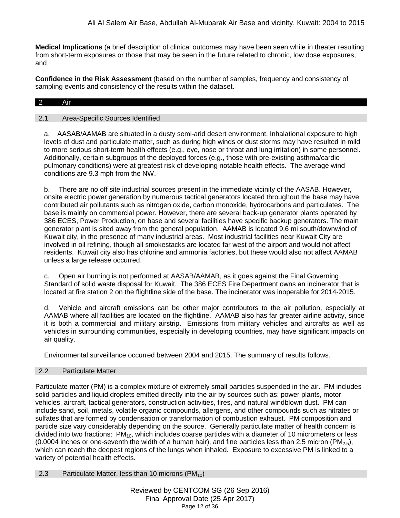**Medical Implications** (a brief description of clinical outcomes may have been seen while in theater resulting from short-term exposures or those that may be seen in the future related to chronic, low dose exposures, and

**Confidence in the Risk Assessment** (based on the number of samples, frequency and consistency of sampling events and consistency of the results within the dataset.

# 2 Air

#### 2.1 Area-Specific Sources Identified

a. AASAB/AAMAB are situated in a dusty semi-arid desert environment. Inhalational exposure to high levels of dust and particulate matter, such as during high winds or dust storms may have resulted in mild to more serious short-term health effects (e.g., eye, nose or throat and lung irritation) in some personnel. Additionally, certain subgroups of the deployed forces (e.g., those with pre-existing asthma/cardio pulmonary conditions) were at greatest risk of developing notable health effects. The average wind conditions are 9.3 mph from the NW.

b. There are no off site industrial sources present in the immediate vicinity of the AASAB. However, onsite electric power generation by numerous tactical generators located throughout the base may have contributed air pollutants such as nitrogen oxide, carbon monoxide, hydrocarbons and particulates. The base is mainly on commercial power. However, there are several back-up generator plants operated by 386 ECES, Power Production, on base and several facilities have specific backup generators. The main generator plant is sited away from the general population. AAMAB is located 9.6 mi south/downwind of Kuwait city, in the presence of many industrial areas. Most industrial facilities near Kuwait City are involved in oil refining, though all smokestacks are located far west of the airport and would not affect residents. Kuwait city also has chlorine and ammonia factories, but these would also not affect AAMAB unless a large release occurred.

c. Open air burning is not performed at AASAB/AAMAB, as it goes against the Final Governing Standard of solid waste disposal for Kuwait. The 386 ECES Fire Department owns an incinerator that is located at fire station 2 on the flightline side of the base. The incinerator was inoperable for 2014-2015.

d. Vehicle and aircraft emissions can be other major contributors to the air pollution, especially at AAMAB where all facilities are located on the flightline. AAMAB also has far greater airline activity, since it is both a commercial and military airstrip. Emissions from military vehicles and aircrafts as well as vehicles in surrounding communities, especially in developing countries, may have significant impacts on air quality.

Environmental surveillance occurred between 2004 and 2015. The summary of results follows.

## 2.2 Particulate Matter

Particulate matter (PM) is a complex mixture of extremely small particles suspended in the air. PM includes solid particles and liquid droplets emitted directly into the air by sources such as: power plants, motor vehicles, aircraft, tactical generators, construction activities, fires, and natural windblown dust. PM can include sand, soil, metals, volatile organic compounds, allergens, and other compounds such as nitrates or sulfates that are formed by condensation or transformation of combustion exhaust. PM composition and particle size vary considerably depending on the source. Generally particulate matter of health concern is divided into two fractions:  $PM_{10}$ , which includes coarse particles with a diameter of 10 micrometers or less (0.0004 inches or one-seventh the width of a human hair), and fine particles less than 2.5 micron (PM<sub>2.5</sub>), which can reach the deepest regions of the lungs when inhaled. Exposure to excessive PM is linked to a variety of potential health effects.

<span id="page-11-0"></span>2.3 Particulate Matter, less than 10 microns  $(PM_{10})$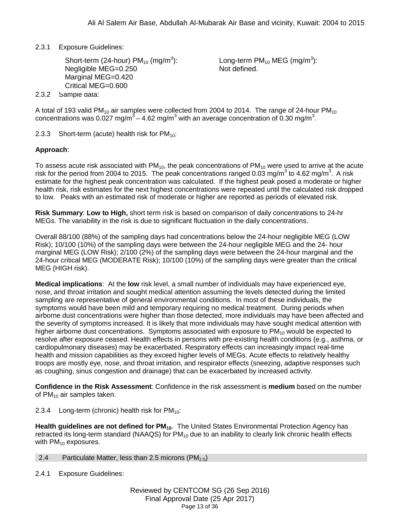2.3.1 Exposure Guidelines:

Short-term (24-hour) PM $_{10}$  (mg/m $^3$ ): Negligible MEG=0.250 Marginal MEG=0.420 Critical MEG=0.600

Long-term PM $_{10}$  MEG (mg/m $^3$ ): Not defined.

2.3.2 Sample data:

A total of 193 valid PM<sub>10</sub> air samples were collected from 2004 to 2014. The range of 24-hour PM<sub>10</sub> concentrations was 0.027 mg/m $^3$  – 4.62 mg/m $^3$  with an average concentration of 0.30 mg/m $^3$ .

2.3.3 Short-term (acute) health risk for  $PM_{10}$ :

# **Approach**:

To assess acute risk associated with  $PM_{10}$ , the peak concentrations of  $PM_{10}$  were used to arrive at the acute risk for the period from 2004 to 2015. The peak concentrations ranged 0.03 mg/m<sup>3</sup> to 4.62 mg/m<sup>3</sup>. A risk estimate for the highest peak concentration was calculated. If the highest peak posed a moderate or higher health risk, risk estimates for the next highest concentrations were repeated until the calculated risk dropped to low. Peaks with an estimated risk of moderate or higher are reported as periods of elevated risk.

**Risk Summary**: **Low to High,** short term risk is based on comparison of daily concentrations to 24-hr MEGs. The variability in the risk is due to significant fluctuation in the daily concentrations.

Overall 88/100 (88%) of the sampling days had concentrations below the 24-hour negligible MEG (LOW Risk); 10/100 (10%) of the sampling days were between the 24-hour negligible MEG and the 24- hour marginal MEG (LOW Risk); 2/100 (2%) of the sampling days were between the 24-hour marginal and the 24-hour critical MEG (MODERATE Risk); 10/100 (10%) of the sampling days were greater than the critical MEG (HIGH risk).

**Medical implications**: At the **low** risk level, a small number of individuals may have experienced eye, nose, and throat irritation and sought medical attention assuming the levels detected during the limited sampling are representative of general environmental conditions. In most of these individuals, the symptoms would have been mild and temporary requiring no medical treatment. During periods when airborne dust concentrations were higher than those detected, more individuals may have been affected and the severity of symptoms increased. It is likely that more individuals may have sought medical attention with higher airborne dust concentrations. Symptoms associated with exposure to  $PM_{10}$  would be expected to resolve after exposure ceased. Health effects in persons with pre-existing health conditions (e.g., asthma, or cardiopulmonary diseases) may be exacerbated. Respiratory effects can increasingly impact real-time health and mission capabilities as they exceed higher levels of MEGs. Acute effects to relatively healthy troops are mostly eye, nose, and throat irritation, and respirator effects (sneezing, adaptive responses such as coughing, sinus congestion and drainage) that can be exacerbated by increased activity.

**Confidence in the Risk Assessment**: Confidence in the risk assessment is **medium** based on the number of  $PM_{10}$  air samples taken.

2.3.4 Long-term (chronic) health risk for  $PM_{10}$ :

**Health guidelines are not defined for PM<sub>10</sub>.** The United States Environmental Protection Agency has retracted its long-term standard (NAAQS) for  $PM_{10}$  due to an inability to clearly link chronic health effects with  $PM_{10}$  exposures.

## <span id="page-12-0"></span>2.4 Particulate Matter, less than 2.5 microns (PM<sub>2.5</sub>)

2.4.1 Exposure Guidelines: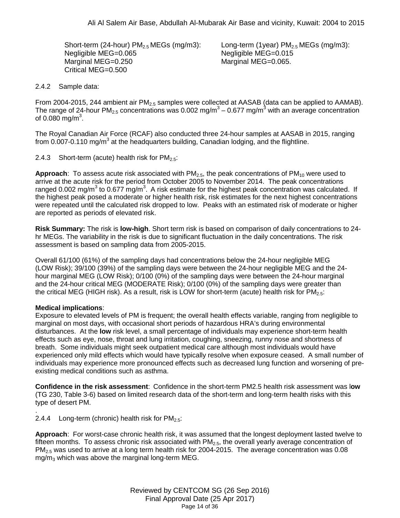Short-term (24-hour)  $PM<sub>2.5</sub> MEGs$  (mg/m3): Negligible MEG=0.065 Marginal MEG=0.250 Critical MEG=0.500

Long-term (1year)  $PM<sub>2.5</sub> MEGs$  (mg/m3): Negligible MEG=0.015 Marginal MEG=0.065.

## 2.4.2 Sample data:

From 2004-2015, 244 ambient air  $PM<sub>2.5</sub>$  samples were collected at AASAB (data can be applied to AAMAB). The range of 24-hour PM<sub>2.5</sub> concentrations was 0.002 mg/m<sup>3</sup> – 0.677 mg/m<sup>3</sup> with an average concentration of 0.080 mg/m $^3$ .

The Royal Canadian Air Force (RCAF) also conducted three 24-hour samples at AASAB in 2015, ranging from 0.007-0.110 mg/m<sup>3</sup> at the headquarters building, Canadian lodging, and the flightline.

2.4.3 Short-term (acute) health risk for  $PM_{2.5}$ :

**Approach**: To assess acute risk associated with PM<sub>2.5</sub>, the peak concentrations of PM<sub>10</sub> were used to arrive at the acute risk for the period from October 2005 to November 2014. The peak concentrations ranged 0.002 mg/m<sup>3</sup> to 0.677 mg/m<sup>3</sup>. A risk estimate for the highest peak concentration was calculated. If the highest peak posed a moderate or higher health risk, risk estimates for the next highest concentrations were repeated until the calculated risk dropped to low. Peaks with an estimated risk of moderate or higher are reported as periods of elevated risk.

**Risk Summary:** The risk is **low-high**. Short term risk is based on comparison of daily concentrations to 24 hr MEGs. The variability in the risk is due to significant fluctuation in the daily concentrations. The risk assessment is based on sampling data from 2005-2015.

Overall 61/100 (61%) of the sampling days had concentrations below the 24-hour negligible MEG (LOW Risk); 39/100 (39%) of the sampling days were between the 24-hour negligible MEG and the 24 hour marginal MEG (LOW Risk); 0/100 (0%) of the sampling days were between the 24-hour marginal and the 24-hour critical MEG (MODERATE Risk); 0/100 (0%) of the sampling days were greater than the critical MEG (HIGH risk). As a result, risk is LOW for short-term (acute) health risk for  $PM_{2.5}$ :

# **Medical implications**:

Exposure to elevated levels of PM is frequent; the overall health effects variable, ranging from negligible to marginal on most days, with occasional short periods of hazardous HRA's during environmental disturbances. At the **low** risk level, a small percentage of individuals may experience short-term health effects such as eye, nose, throat and lung irritation, coughing, sneezing, runny nose and shortness of breath. Some individuals might seek outpatient medical care although most individuals would have experienced only mild effects which would have typically resolve when exposure ceased. A small number of individuals may experience more pronounced effects such as decreased lung function and worsening of preexisting medical conditions such as asthma.

**Confidence in the risk assessment**: Confidence in the short-term PM2.5 health risk assessment was l**ow** (TG 230, Table 3-6) based on limited research data of the short-term and long-term health risks with this type of desert PM.

. 2.4.4 Long-term (chronic) health risk for  $PM_{2.5}$ :

**Approach**: For worst-case chronic health risk, it was assumed that the longest deployment lasted twelve to fifteen months. To assess chronic risk associated with  $PM<sub>2.5</sub>$ , the overall yearly average concentration of PM<sub>2.5</sub> was used to arrive at a long term health risk for 2004-2015. The average concentration was 0.08  $mg/m<sub>3</sub>$  which was above the marginal long-term MEG.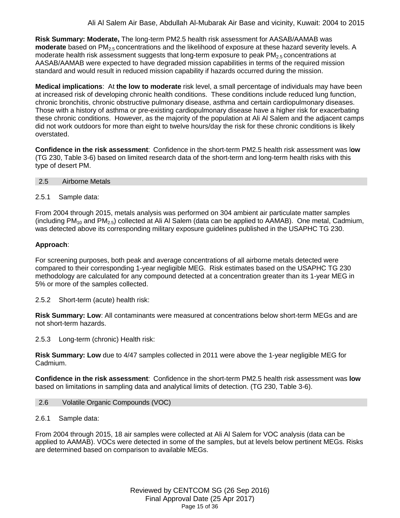**Risk Summary: Moderate,** The long-term PM2.5 health risk assessment for AASAB/AAMAB was **moderate** based on PM<sub>2.5</sub> concentrations and the likelihood of exposure at these hazard severity levels. A moderate health risk assessment suggests that long-term exposure to peak  $PM<sub>2.5</sub>$  concentrations at AASAB/AAMAB were expected to have degraded mission capabilities in terms of the required mission standard and would result in reduced mission capability if hazards occurred during the mission.

**Medical implications**: At **the low to moderate** risk level, a small percentage of individuals may have been at increased risk of developing chronic health conditions. These conditions include reduced lung function, chronic bronchitis, chronic obstructive pulmonary disease, asthma and certain cardiopulmonary diseases. Those with a history of asthma or pre-existing cardiopulmonary disease have a higher risk for exacerbating these chronic conditions. However, as the majority of the population at Ali Al Salem and the adjacent camps did not work outdoors for more than eight to twelve hours/day the risk for these chronic conditions is likely overstated.

**Confidence in the risk assessment**: Confidence in the short-term PM2.5 health risk assessment was l**ow** (TG 230, Table 3-6) based on limited research data of the short-term and long-term health risks with this type of desert PM.

<span id="page-14-0"></span>

| 2.5 | <b>Airborne Metals</b> |  |
|-----|------------------------|--|
|-----|------------------------|--|

## 2.5.1 Sample data:

From 2004 through 2015, metals analysis was performed on 304 ambient air particulate matter samples (including PM<sub>10</sub> and PM<sub>2.5</sub>) collected at Ali Al Salem (data can be applied to AAMAB). One metal, Cadmium, was detected above its corresponding military exposure guidelines published in the USAPHC TG 230.

## **Approach**:

For screening purposes, both peak and average concentrations of all airborne metals detected were compared to their corresponding 1-year negligible MEG. Risk estimates based on the USAPHC TG 230 methodology are calculated for any compound detected at a concentration greater than its 1-year MEG in 5% or more of the samples collected.

2.5.2 Short-term (acute) health risk:

**Risk Summary: Low**: All contaminants were measured at concentrations below short-term MEGs and are not short-term hazards.

2.5.3 Long-term (chronic) Health risk:

**Risk Summary: Low** due to 4/47 samples collected in 2011 were above the 1-year negligible MEG for Cadmium.

**Confidence in the risk assessment**: Confidence in the short-term PM2.5 health risk assessment was **low**  based on limitations in sampling data and analytical limits of detection. (TG 230, Table 3-6).

## <span id="page-14-1"></span>2.6 Volatile Organic Compounds (VOC)

#### 2.6.1 Sample data:

From 2004 through 2015, 18 air samples were collected at Ali Al Salem for VOC analysis (data can be applied to AAMAB). VOCs were detected in some of the samples, but at levels below pertinent MEGs. Risks are determined based on comparison to available MEGs.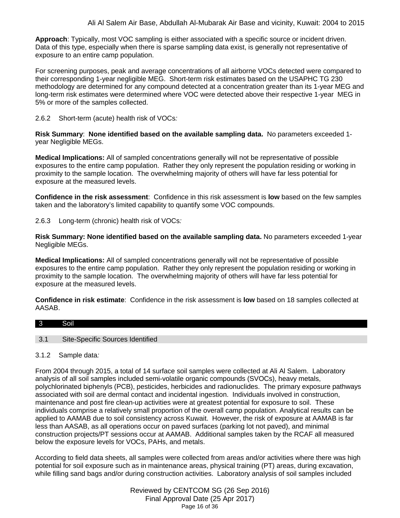**Approach**: Typically, most VOC sampling is either associated with a specific source or incident driven. Data of this type, especially when there is sparse sampling data exist, is generally not representative of exposure to an entire camp population.

For screening purposes, peak and average concentrations of all airborne VOCs detected were compared to their corresponding 1-year negligible MEG. Short-term risk estimates based on the USAPHC TG 230 methodology are determined for any compound detected at a concentration greater than its 1-year MEG and long-term risk estimates were determined where VOC were detected above their respective 1-year MEG in 5% or more of the samples collected.

2.6.2 Short-term (acute) health risk of VOCs*:* 

**Risk Summary**: **None identified based on the available sampling data.** No parameters exceeded 1 year Negligible MEGs.

**Medical Implications:** All of sampled concentrations generally will not be representative of possible exposures to the entire camp population. Rather they only represent the population residing or working in proximity to the sample location. The overwhelming majority of others will have far less potential for exposure at the measured levels.

**Confidence in the risk assessment**: Confidence in this risk assessment is **low** based on the few samples taken and the laboratory's limited capability to quantify some VOC compounds.

2.6.3 Long-term (chronic) health risk of VOCs*:* 

**Risk Summary: None identified based on the available sampling data.** No parameters exceeded 1-year Negligible MEGs.

**Medical Implications:** All of sampled concentrations generally will not be representative of possible exposures to the entire camp population. Rather they only represent the population residing or working in proximity to the sample location. The overwhelming majority of others will have far less potential for exposure at the measured levels.

**Confidence in risk estimate**: Confidence in the risk assessment is **low** based on 18 samples collected at AASAB.

<span id="page-15-0"></span>

| $\overline{\phantom{a}}$ 3 | . .<br>iol                       |
|----------------------------|----------------------------------|
|                            |                                  |
| 3.                         | Site-Specific Sources Identified |

## 3.1.2 Sample data*:*

From 2004 through 2015, a total of 14 surface soil samples were collected at Ali Al Salem. Laboratory analysis of all soil samples included semi-volatile organic compounds (SVOCs), heavy metals, polychlorinated biphenyls (PCB), pesticides, herbicides and radionuclides. The primary exposure pathways associated with soil are dermal contact and incidental ingestion. Individuals involved in construction, maintenance and post fire clean-up activities were at greatest potential for exposure to soil. These individuals comprise a relatively small proportion of the overall camp population. Analytical results can be applied to AAMAB due to soil consistency across Kuwait. However, the risk of exposure at AAMAB is far less than AASAB, as all operations occur on paved surfaces (parking lot not paved), and minimal construction projects/PT sessions occur at AAMAB. Additional samples taken by the RCAF all measured below the exposure levels for VOCs, PAHs, and metals.

According to field data sheets, all samples were collected from areas and/or activities where there was high potential for soil exposure such as in maintenance areas, physical training (PT) areas, during excavation, while filling sand bags and/or during construction activities. Laboratory analysis of soil samples included

> Reviewed by CENTCOM SG (26 Sep 2016) Final Approval Date (25 Apr 2017) Page 16 of 36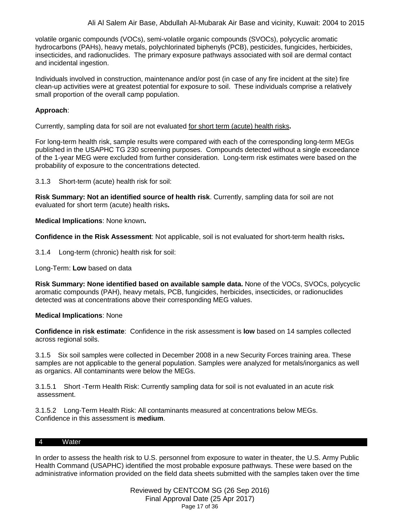volatile organic compounds (VOCs), semi-volatile organic compounds (SVOCs), polycyclic aromatic hydrocarbons (PAHs), heavy metals, polychlorinated biphenyls (PCB), pesticides, fungicides, herbicides, insecticides, and radionuclides. The primary exposure pathways associated with soil are dermal contact and incidental ingestion.

Individuals involved in construction, maintenance and/or post (in case of any fire incident at the site) fire clean-up activities were at greatest potential for exposure to soil. These individuals comprise a relatively small proportion of the overall camp population.

## **Approach**:

Currently, sampling data for soil are not evaluated for short term (acute) health risks**.**

For long-term health risk, sample results were compared with each of the corresponding long-term MEGs published in the USAPHC TG 230 screening purposes. Compounds detected without a single exceedance of the 1-year MEG were excluded from further consideration. Long-term risk estimates were based on the probability of exposure to the concentrations detected.

3.1.3 Short-term (acute) health risk for soil:

**Risk Summary: Not an identified source of health risk**. Currently, sampling data for soil are not evaluated for short term (acute) health risks**.**

**Medical Implications**: None known**.**

**Confidence in the Risk Assessment**: Not applicable, soil is not evaluated for short-term health risks**.**

3.1.4 Long-term (chronic) health risk for soil:

Long-Term: **Low** based on data

**Risk Summary: None identified based on available sample data.** None of the VOCs, SVOCs, polycyclic aromatic compounds (PAH), heavy metals, PCB, fungicides, herbicides, insecticides, or radionuclides detected was at concentrations above their corresponding MEG values.

## **Medical Implications**: None

**Confidence in risk estimate**: Confidence in the risk assessment is **low** based on 14 samples collected across regional soils.

3.1.5 Six soil samples were collected in December 2008 in a new Security Forces training area. These samples are not applicable to the general population. Samples were analyzed for metals/inorganics as well as organics. All contaminants were below the MEGs.

3.1.5.1 Short -Term Health Risk: Currently sampling data for soil is not evaluated in an acute risk assessment.

3.1.5.2 Long-Term Health Risk: All contaminants measured at concentrations below MEGs. Confidence in this assessment is **medium**.

#### <span id="page-16-0"></span>4 Water

In order to assess the health risk to U.S. personnel from exposure to water in theater, the U.S. Army Public Health Command (USAPHC) identified the most probable exposure pathways. These were based on the administrative information provided on the field data sheets submitted with the samples taken over the time

> Reviewed by CENTCOM SG (26 Sep 2016) Final Approval Date (25 Apr 2017) Page 17 of 36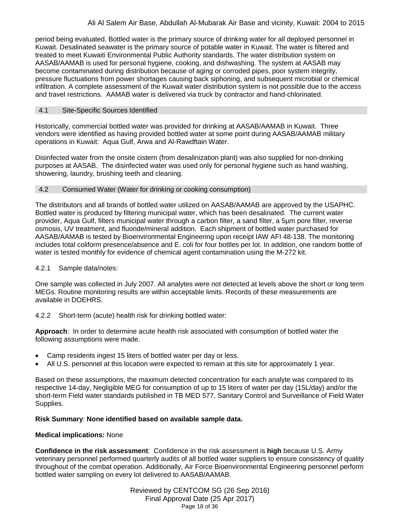period being evaluated. Bottled water is the primary source of drinking water for all deployed personnel in Kuwait. Desalinated seawater is the primary source of potable water in Kuwait. The water is filtered and treated to meet Kuwaiti Environmental Public Authority standards. The water distribution system on AASAB/AAMAB is used for personal hygiene, cooking, and dishwashing. The system at AASAB may become contaminated during distribution because of aging or corroded pipes, poor system integrity, pressure fluctuations from power shortages causing back siphoning, and subsequent microbial or chemical infiltration. A complete assessment of the Kuwait water distribution system is not possible due to the access and travel restrictions. AAMAB water is delivered via truck by contractor and hand-chlorinated.

## 4.1 Site-Specific Sources Identified

Historically, commercial bottled water was provided for drinking at AASAB/AAMAB in Kuwait. Three vendors were identified as having provided bottled water at some point during AASAB/AAMAB military operations in Kuwait: Aqua Gulf, Arwa and [Al-Rawdftain Water.](http://kuwaityellowpagesonline.com/companies/295437.htm)

Disinfected water from the onsite cistern (from desalinization plant) was also supplied for non-drinking purposes at AASAB. The disinfected water was used only for personal hygiene such as hand washing, showering, laundry, brushing teeth and cleaning.

## <span id="page-17-0"></span>4.2 Consumed Water (Water for drinking or cooking consumption)

The distributors and all brands of bottled water utilized on AASAB/AAMAB are approved by the USAPHC. Bottled water is produced by filtering municipal water, which has been desalinated. The current water provider, Aqua Gulf, filters municipal water through a carbon filter, a sand filter, a 5µm pore filter, reverse osmosis, UV treatment, and fluoride/mineral addition. Each shipment of bottled water purchased for AASAB/AAMAB is tested by Bioenvironmental Engineering upon receipt IAW AFI 48-138. The monitoring includes total coliform presence/absence and E. coli for four bottles per lot. In addition, one random bottle of water is tested monthly for evidence of chemical agent contamination using the M-272 kit.

# 4.2.1 Sample data/notes:

One sample was collected in July 2007. All analytes were not detected at levels above the short or long term MEGs. Routine monitoring results are within acceptable limits. Records of these measurements are available in DOEHRS.

4.2.2 Short-term (acute) health risk for drinking bottled water:

**Approach**: In order to determine acute health risk associated with consumption of bottled water the following assumptions were made.

- Camp residents ingest 15 liters of bottled water per day or less.
- All U.S. personnel at this location were expected to remain at this site for approximately 1 year.

Based on these assumptions, the maximum detected concentration for each analyte was compared to its respective 14-day, Negligible MEG for consumption of up to 15 liters of water per day (15L/day) and/or the short-term Field water standards published in TB MED 577, Sanitary Control and Surveillance of Field Water Supplies.

# **Risk Summary**: **None identified based on available sample data.**

# **Medical implications:** None

**Confidence in the risk assessment**: Confidence in the risk assessment is **high** because U.S. Army veterinary personnel performed quarterly audits of all bottled water suppliers to ensure consistency of quality throughout of the combat operation. Additionally, Air Force Bioenvironmental Engineering personnel perform bottled water sampling on every lot delivered to AASAB/AAMAB.

> Reviewed by CENTCOM SG (26 Sep 2016) Final Approval Date (25 Apr 2017) Page 18 of 36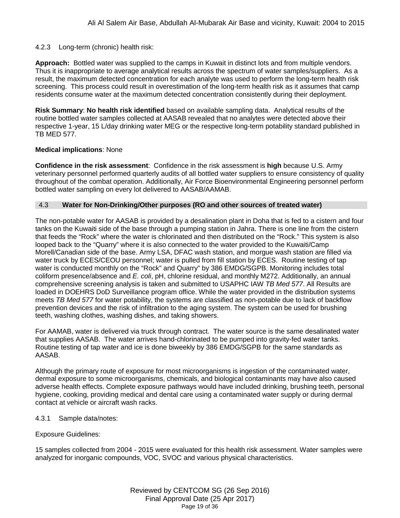## 4.2.3 Long-term (chronic) health risk:

**Approach:** Bottled water was supplied to the camps in Kuwait in distinct lots and from multiple vendors. Thus it is inappropriate to average analytical results across the spectrum of water samples/suppliers. As a result, the maximum detected concentration for each analyte was used to perform the long-term health risk screening. This process could result in overestimation of the long-term health risk as it assumes that camp residents consume water at the maximum detected concentration consistently during their deployment.

**Risk Summary**: **No health risk identified** based on available sampling data. Analytical results of the routine bottled water samples collected at AASAB revealed that no analytes were detected above their respective 1-year, 15 L/day drinking water MEG or the respective long-term potability standard published in TB MED 577.

#### **Medical implications**: None

**Confidence in the risk assessment**: Confidence in the risk assessment is **high** because U.S. Army veterinary personnel performed quarterly audits of all bottled water suppliers to ensure consistency of quality throughout of the combat operation. Additionally, Air Force Bioenvironmental Engineering personnel perform bottled water sampling on every lot delivered to AASAB/AAMAB.

#### <span id="page-18-0"></span>4.3 **Water for Non-Drinking/Other purposes (RO and other sources of treated water)**

The non-potable water for AASAB is provided by a desalination plant in Doha that is fed to a cistern and four tanks on the Kuwaiti side of the base through a pumping station in Jahra. There is one line from the cistern that feeds the "Rock" where the water is chlorinated and then distributed on the "Rock." This system is also looped back to the "Quarry" where it is also connected to the water provided to the Kuwaiti/Camp Morell/Canadian side of the base. Army LSA, DFAC wash station, and morgue wash station are filled via water truck by ECES/CEOU personnel; water is pulled from fill station by ECES. Routine testing of tap water is conducted monthly on the "Rock" and Quarry" by 386 EMDG/SGPB. Monitoring includes total coliform presence/absence and *E. coli*, pH, chlorine residual, and monthly M272. Additionally, an annual comprehensive screening analysis is taken and submitted to USAPHC IAW *TB Med 577*. All Results are loaded in DOEHRS DoD Surveillance program office. While the water provided in the distribution systems meets *TB Med 577* for water potability, the systems are classified as non-potable due to lack of backflow prevention devices and the risk of infiltration to the aging system. The system can be used for brushing teeth, washing clothes, washing dishes, and taking showers.

For AAMAB, water is delivered via truck through contract. The water source is the same desalinated water that supplies AASAB. The water arrives hand-chlorinated to be pumped into gravity-fed water tanks. Routine testing of tap water and ice is done biweekly by 386 EMDG/SGPB for the same standards as AASAB.

Although the primary route of exposure for most microorganisms is ingestion of the contaminated water, dermal exposure to some microorganisms, chemicals, and biological contaminants may have also caused adverse health effects. Complete exposure pathways would have included drinking, brushing teeth, personal hygiene, cooking, providing medical and dental care using a contaminated water supply or during dermal contact at vehicle or aircraft wash racks.

#### 4.3.1 Sample data/notes:

## Exposure Guidelines:

15 samples collected from 2004 - 2015 were evaluated for this health risk assessment. Water samples were analyzed for inorganic compounds, VOC, SVOC and various physical characteristics.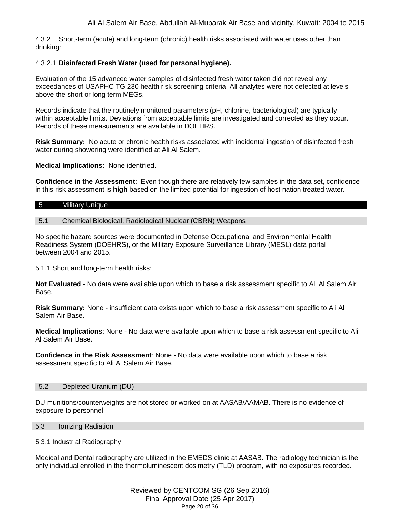4.3.2 Short-term (acute) and long-term (chronic) health risks associated with water uses other than drinking:

## 4.3.2.1 **Disinfected Fresh Water (used for personal hygiene).**

Evaluation of the 15 advanced water samples of disinfected fresh water taken did not reveal any exceedances of USAPHC TG 230 health risk screening criteria. All analytes were not detected at levels above the short or long term MEGs.

Records indicate that the routinely monitored parameters (pH, chlorine, bacteriological) are typically within acceptable limits. Deviations from acceptable limits are investigated and corrected as they occur. Records of these measurements are available in DOEHRS.

**Risk Summary:** No acute or chronic health risks associated with incidental ingestion of disinfected fresh water during showering were identified at Ali Al Salem.

**Medical Implications:** None identified.

**Confidence in the Assessment**: Even though there are relatively few samples in the data set, confidence in this risk assessment is **high** based on the limited potential for ingestion of host nation treated water.

#### <span id="page-19-0"></span>5 Military Unique

#### 5.1 Chemical Biological, Radiological Nuclear (CBRN) Weapons

No specific hazard sources were documented in Defense Occupational and Environmental Health Readiness System (DOEHRS), or the Military Exposure Surveillance Library (MESL) data portal between 2004 and 2015.

5.1.1 Short and long-term health risks:

**Not Evaluated** - No data were available upon which to base a risk assessment specific to Ali Al Salem Air Base.

**Risk Summary:** None - insufficient data exists upon which to base a risk assessment specific to Ali Al Salem Air Base.

**Medical Implications**: None - No data were available upon which to base a risk assessment specific to Ali Al Salem Air Base.

**Confidence in the Risk Assessment**: None - No data were available upon which to base a risk assessment specific to Ali Al Salem Air Base.

## 5.2 Depleted Uranium (DU)

DU munitions/counterweights are not stored or worked on at AASAB/AAMAB. There is no evidence of exposure to personnel.

#### 5.3 Ionizing Radiation

5.3.1 Industrial Radiography

Medical and Dental radiography are utilized in the EMEDS clinic at AASAB. The radiology technician is the only individual enrolled in the thermoluminescent dosimetry (TLD) program, with no exposures recorded.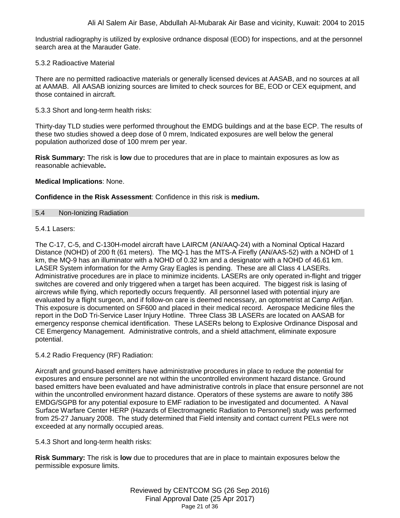Industrial radiography is utilized by explosive ordnance disposal (EOD) for inspections, and at the personnel search area at the Marauder Gate.

## 5.3.2 Radioactive Material

There are no permitted radioactive materials or generally licensed devices at AASAB, and no sources at all at AAMAB. All AASAB ionizing sources are limited to check sources for BE, EOD or CEX equipment, and those contained in aircraft.

5.3.3 Short and long-term health risks:

Thirty-day TLD studies were performed throughout the EMDG buildings and at the base ECP. The results of these two studies showed a deep dose of 0 mrem, Indicated exposures are well below the general population authorized dose of 100 mrem per year.

**Risk Summary:** The risk is **low** due to procedures that are in place to maintain exposures as low as reasonable achievable**.**

## **Medical Implications**: None.

## **Confidence in the Risk Assessment**: Confidence in this risk is **medium.**

## 5.4 Non-Ionizing Radiation

## $5.4.1$  Lasers:

The C-17, C-5, and C-130H-model aircraft have LAIRCM (AN/AAQ-24) with a Nominal Optical Hazard Distance (NOHD) of 200 ft (61 meters). The MQ-1 has the MTS-A Firefly (AN/AAS-52) with a NOHD of 1 km, the MQ-9 has an illuminator with a NOHD of 0.32 km and a designator with a NOHD of 46.61 km. LASER System information for the Army Gray Eagles is pending. These are all Class 4 LASERs. Administrative procedures are in place to minimize incidents. LASERs are only operated in-flight and trigger switches are covered and only triggered when a target has been acquired. The biggest risk is lasing of aircrews while flying, which reportedly occurs frequently. All personnel lased with potential injury are evaluated by a flight surgeon, and if follow-on care is deemed necessary, an optometrist at Camp Arifjan. This exposure is documented on SF600 and placed in their medical record. Aerospace Medicine files the report in the DoD Tri-Service Laser Injury Hotline. Three Class 3B LASERs are located on AASAB for emergency response chemical identification. These LASERs belong to Explosive Ordinance Disposal and CE Emergency Management. Administrative controls, and a shield attachment, eliminate exposure potential.

## 5.4.2 Radio Frequency (RF) Radiation:

Aircraft and ground-based emitters have administrative procedures in place to reduce the potential for exposures and ensure personnel are not within the uncontrolled environment hazard distance. Ground based emitters have been evaluated and have administrative controls in place that ensure personnel are not within the uncontrolled environment hazard distance. Operators of these systems are aware to notify 386 EMDG/SGPB for any potential exposure to EMF radiation to be investigated and documented. A Naval Surface Warfare Center HERP (Hazards of Electromagnetic Radiation to Personnel) study was performed from 25-27 January 2008. The study determined that Field intensity and contact current PELs were not exceeded at any normally occupied areas.

5.4.3 Short and long-term health risks:

**Risk Summary:** The risk is **low** due to procedures that are in place to maintain exposures below the permissible exposure limits.

> Reviewed by CENTCOM SG (26 Sep 2016) Final Approval Date (25 Apr 2017) Page 21 of 36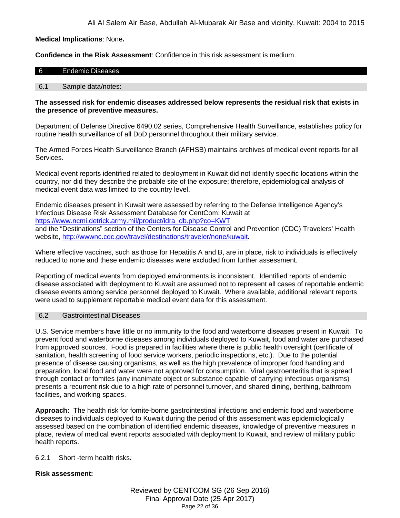**Medical Implications**: None**.**

**Confidence in the Risk Assessment**: Confidence in this risk assessment is medium.

#### 6 Endemic Diseases

#### 6.1 Sample data/notes:

#### **The assessed risk for endemic diseases addressed below represents the residual risk that exists in the presence of preventive measures.**

Department of Defense Directive 6490.02 series, Comprehensive Health Surveillance, establishes policy for routine health surveillance of all DoD personnel throughout their military service.

The Armed Forces Health Surveillance Branch (AFHSB) maintains archives of medical event reports for all Services.

Medical event reports identified related to deployment in Kuwait did not identify specific locations within the country, nor did they describe the probable site of the exposure; therefore, epidemiological analysis of medical event data was limited to the country level.

Endemic diseases present in Kuwait were assessed by referring to the Defense Intelligence Agency's Infectious Disease Risk Assessment Database for CentCom: Kuwait at [https://www.ncmi.detrick.army.mil/product/idra\\_db.php?co=KWT](https://www.ncmi.detrick.army.mil/product/idra_db.php?co=KWT) and the "Destinations" section of the Centers for Disease Control and Prevention (CDC) Travelers' Health website, [http://wwwnc.cdc.gov/travel/destinations/traveler/none/kuwait.](http://wwwnc.cdc.gov/travel/destinations/traveler/none/kuwait)

Where effective vaccines, such as those for Hepatitis A and B, are in place, risk to individuals is effectively reduced to none and these endemic diseases were excluded from further assessment.

Reporting of medical events from deployed environments is inconsistent. Identified reports of endemic disease associated with deployment to Kuwait are assumed not to represent all cases of reportable endemic disease events among service personnel deployed to Kuwait. Where available, additional relevant reports were used to supplement reportable medical event data for this assessment.

#### <span id="page-21-0"></span>6.2 Gastrointestinal Diseases

U.S. Service members have little or no immunity to the food and waterborne diseases present in Kuwait. To prevent food and waterborne diseases among individuals deployed to Kuwait, food and water are purchased from approved sources. Food is prepared in facilities where there is public health oversight (certificate of sanitation, health screening of food service workers, periodic inspections, etc.). Due to the potential presence of disease causing organisms, as well as the high prevalence of improper food handling and preparation, local food and water were not approved for consumption. Viral gastroenteritis that is spread through contact or fomites (any inanimate object or substance capable of carrying infectious organisms) presents a recurrent risk due to a high rate of personnel turnover, and shared dining, berthing, bathroom facilities, and working spaces.

**Approach:** The health risk for fomite-borne gastrointestinal infections and endemic food and waterborne diseases to individuals deployed to Kuwait during the period of this assessment was epidemiologically assessed based on the combination of identified endemic diseases, knowledge of preventive measures in place, review of medical event reports associated with deployment to Kuwait, and review of military public health reports.

6.2.1 Short -term health risks*:*

## **Risk assessment:**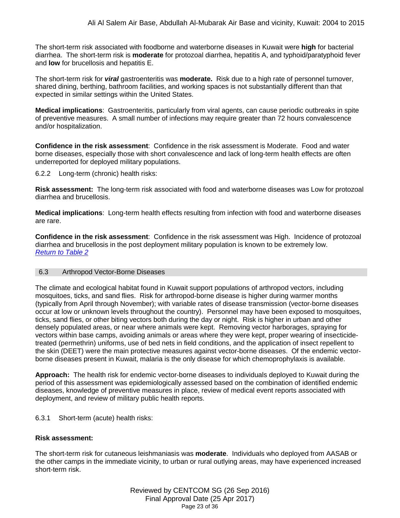The short-term risk associated with foodborne and waterborne diseases in Kuwait were **high** for bacterial diarrhea. The short-term risk is **moderate** for protozoal diarrhea, hepatitis A, and typhoid/paratyphoid fever and **low** for brucellosis and hepatitis E.

The short-term risk for *viral* gastroenteritis was **moderate.** Risk due to a high rate of personnel turnover, shared dining, berthing, bathroom facilities, and working spaces is not substantially different than that expected in similar settings within the United States.

**Medical implications**: Gastroenteritis, particularly from viral agents, can cause periodic outbreaks in spite of preventive measures. A small number of infections may require greater than 72 hours convalescence and/or hospitalization.

**Confidence in the risk assessment**: Confidence in the risk assessment is Moderate. Food and water borne diseases, especially those with short convalescence and lack of long-term health effects are often underreported for deployed military populations.

6.2.2 Long-term (chronic) health risks:

**Risk assessment:** The long-term risk associated with food and waterborne diseases was Low for protozoal diarrhea and brucellosis.

**Medical implications**: Long-term health effects resulting from infection with food and waterborne diseases are rare.

**Confidence in the risk assessment**: Confidence in the risk assessment was High. Incidence of protozoal diarrhea and brucellosis in the post deployment military population is known to be extremely low. *[Return to Table 2](#page-5-0)*

## <span id="page-22-0"></span>6.3 Arthropod Vector-Borne Diseases

The climate and ecological habitat found in Kuwait support populations of arthropod vectors, including mosquitoes, ticks, and sand flies. Risk for arthropod-borne disease is higher during warmer months (typically from April through November); with variable rates of disease transmission (vector-borne diseases occur at low or unknown levels throughout the country). Personnel may have been exposed to mosquitoes, ticks, sand flies, or other biting vectors both during the day or night. Risk is higher in urban and other densely populated areas, or near where animals were kept. Removing vector harborages, spraying for vectors within base camps, avoiding animals or areas where they were kept, proper wearing of insecticidetreated (permethrin) uniforms, use of bed nets in field conditions, and the application of insect repellent to the skin (DEET) were the main protective measures against vector-borne diseases. Of the endemic vectorborne diseases present in Kuwait, malaria is the only disease for which chemoprophylaxis is available.

**Approach:** The health risk for endemic vector-borne diseases to individuals deployed to Kuwait during the period of this assessment was epidemiologically assessed based on the combination of identified endemic diseases, knowledge of preventive measures in place, review of medical event reports associated with deployment, and review of military public health reports.

## 6.3.1 Short-term (acute) health risks:

## **Risk assessment:**

The short-term risk for cutaneous leishmaniasis was **moderate**. Individuals who deployed from AASAB or the other camps in the immediate vicinity, to urban or rural outlying areas, may have experienced increased short-term risk.

> Reviewed by CENTCOM SG (26 Sep 2016) Final Approval Date (25 Apr 2017) Page 23 of 36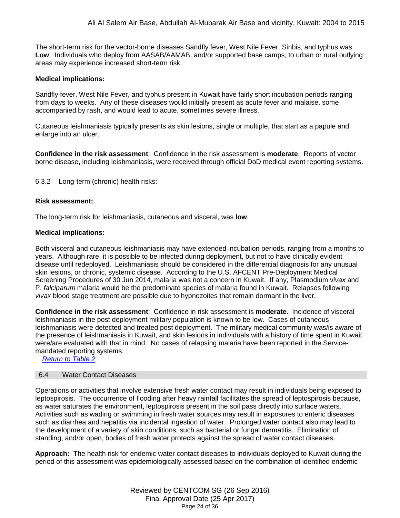The short-term risk for the vector-borne diseases Sandfly fever, West Nile Fever, Sinbis, and typhus was **Low**. Individuals who deploy from AASAB/AAMAB, and/or supported base camps, to urban or rural outlying areas may experience increased short-term risk.

## **Medical implications:**

Sandfly fever, West Nile Fever, and typhus present in Kuwait have fairly short incubation periods ranging from days to weeks. Any of these diseases would initially present as acute fever and malaise, some accompanied by rash, and would lead to acute, sometimes severe illness.

Cutaneous leishmaniasis typically presents as skin lesions, single or multiple, that start as a papule and enlarge into an ulcer.

**Confidence in the risk assessment**: Confidence in the risk assessment is **moderate**. Reports of vector borne disease, including leishmaniasis, were received through official DoD medical event reporting systems.

6.3.2 Long-term (chronic) health risks:

#### **Risk assessment:**

The long-term risk for leishmaniasis, cutaneous and visceral, was **low**.

#### **Medical implications:**

Both visceral and cutaneous leishmaniasis may have extended incubation periods, ranging from a months to years. Although rare, it is possible to be infected during deployment, but not to have clinically evident disease until redeployed. Leishmaniasis should be considered in the differential diagnosis for any unusual skin lesions, or chronic, systemic disease. According to the U.S. AFCENT Pre-Deployment Medical Screening Procedures of 30 Jun 2014, malaria was not a concern in Kuwait. If any, Plasmodium v*ivax* and P. *falciparum* malaria would be the predominate species of malaria found in Kuwait. Relapses following *vivax* blood stage treatment are possible due to hypnozoites that remain dormant in the liver.

**Confidence in the risk assessment**: Confidence in risk assessment is **moderate**. Incidence of visceral leishmaniasis in the post deployment military population is known to be low. Cases of cutaneous leishmaniasis were detected and treated post deployment. The military medical community was/is aware of the presence of leishmaniasis in Kuwait, and skin lesions in individuals with a history of time spent in Kuwait were/are evaluated with that in mind. No cases of relapsing malaria have been reported in the Servicemandated reporting systems.

<span id="page-23-0"></span>*Return to Table 2*

#### 6.4 Water Contact Diseases

Operations or activities that involve extensive fresh water contact may result in individuals being exposed to leptospirosis. The occurrence of flooding after heavy rainfall facilitates the spread of leptospirosis because, as water saturates the environment, leptospirosis present in the soil pass directly into surface waters. Activities such as wading or swimming in fresh water sources may result in exposures to enteric diseases such as diarrhea and hepatitis via incidental ingestion of water. Prolonged water contact also may lead to the development of a variety of skin conditions, such as bacterial or fungal dermatitis. Elimination of standing, and/or open, bodies of fresh water protects against the spread of water contact diseases.

**Approach:** The health risk for endemic water contact diseases to individuals deployed to Kuwait during the period of this assessment was epidemiologically assessed based on the combination of identified endemic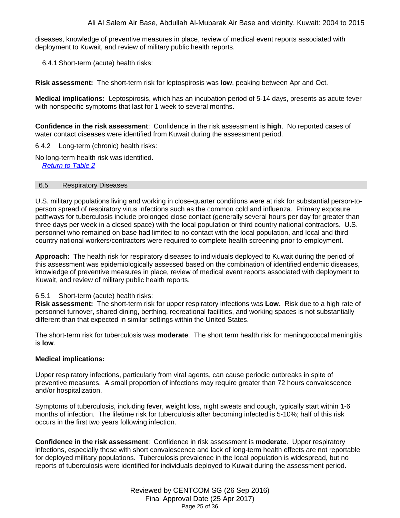diseases, knowledge of preventive measures in place, review of medical event reports associated with deployment to Kuwait, and review of military public health reports.

6.4.1 Short-term (acute) health risks:

**Risk assessment:** The short-term risk for leptospirosis was **low**, peaking between Apr and Oct.

**Medical implications:** Leptospirosis, which has an incubation period of 5-14 days, presents as acute fever with nonspecific symptoms that last for 1 week to several months.

**Confidence in the risk assessment**: Confidence in the risk assessment is **high**. No reported cases of water contact diseases were identified from Kuwait during the assessment period.

6.4.2 Long-term (chronic) health risks:

No long-term health risk was identified. *[Return to Table 2](#page-6-0)*

## <span id="page-24-0"></span>6.5 Respiratory Diseases

U.S. military populations living and working in close-quarter conditions were at risk for substantial person-toperson spread of respiratory virus infections such as the common cold and influenza. Primary exposure pathways for tuberculosis include prolonged close contact (generally several hours per day for greater than three days per week in a closed space) with the local population or third country national contractors. U.S. personnel who remained on base had limited to no contact with the local population, and local and third country national workers/contractors were required to complete health screening prior to employment.

**Approach:** The health risk for respiratory diseases to individuals deployed to Kuwait during the period of this assessment was epidemiologically assessed based on the combination of identified endemic diseases, knowledge of preventive measures in place, review of medical event reports associated with deployment to Kuwait, and review of military public health reports.

## 6.5.1 Short-term (acute) health risks:

**Risk assessment:** The short-term risk for upper respiratory infections was **Low.** Risk due to a high rate of personnel turnover, shared dining, berthing, recreational facilities, and working spaces is not substantially different than that expected in similar settings within the United States.

The short-term risk for tuberculosis was **moderate**. The short term health risk for meningococcal meningitis is **low**.

## **Medical implications:**

Upper respiratory infections, particularly from viral agents, can cause periodic outbreaks in spite of preventive measures. A small proportion of infections may require greater than 72 hours convalescence and/or hospitalization.

Symptoms of tuberculosis, including fever, weight loss, night sweats and cough, typically start within 1-6 months of infection. The lifetime risk for tuberculosis after becoming infected is 5-10%; half of this risk occurs in the first two years following infection.

**Confidence in the risk assessment**: Confidence in risk assessment is **moderate**. Upper respiratory infections, especially those with short convalescence and lack of long-term health effects are not reportable for deployed military populations. Tuberculosis prevalence in the local population is widespread, but no reports of tuberculosis were identified for individuals deployed to Kuwait during the assessment period.

> Reviewed by CENTCOM SG (26 Sep 2016) Final Approval Date (25 Apr 2017) Page 25 of 36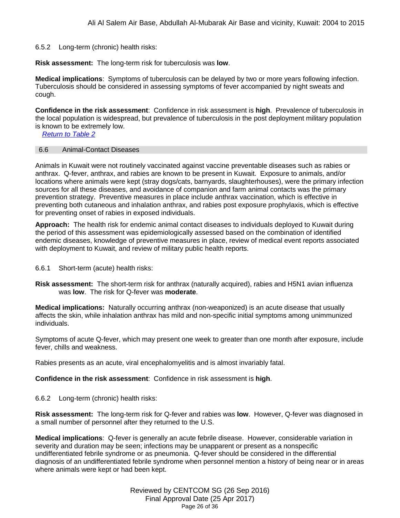#### 6.5.2 Long-term (chronic) health risks:

**Risk assessment:** The long-term risk for tuberculosis was **low**.

**Medical implications**: Symptoms of tuberculosis can be delayed by two or more years following infection. Tuberculosis should be considered in assessing symptoms of fever accompanied by night sweats and cough.

**Confidence in the risk assessment**: Confidence in risk assessment is **high**. Prevalence of tuberculosis in the local population is widespread, but prevalence of tuberculosis in the post deployment military population is known to be extremely low.

<span id="page-25-0"></span>*[Return to Table 2](#page-6-1)*

#### 6.6 Animal-Contact Diseases

Animals in Kuwait were not routinely vaccinated against vaccine preventable diseases such as rabies or anthrax. Q-fever, anthrax, and rabies are known to be present in Kuwait. Exposure to animals, and/or locations where animals were kept (stray dogs/cats, barnyards, slaughterhouses), were the primary infection sources for all these diseases, and avoidance of companion and farm animal contacts was the primary prevention strategy. Preventive measures in place include anthrax vaccination, which is effective in preventing both cutaneous and inhalation anthrax, and rabies post exposure prophylaxis, which is effective for preventing onset of rabies in exposed individuals.

**Approach:** The health risk for endemic animal contact diseases to individuals deployed to Kuwait during the period of this assessment was epidemiologically assessed based on the combination of identified endemic diseases, knowledge of preventive measures in place, review of medical event reports associated with deployment to Kuwait, and review of military public health reports.

#### 6.6.1 Short-term (acute) health risks:

**Risk assessment:** The short-term risk for anthrax (naturally acquired), rabies and H5N1 avian influenza was **low**. The risk for Q-fever was **moderate**.

**Medical implications:** Naturally occurring anthrax (non-weaponized) is an acute disease that usually affects the skin, while inhalation anthrax has mild and non-specific initial symptoms among unimmunized individuals.

Symptoms of acute Q-fever, which may present one week to greater than one month after exposure, include fever, chills and weakness.

Rabies presents as an acute, viral encephalomyelitis and is almost invariably fatal.

**Confidence in the risk assessment**: Confidence in risk assessment is **high**.

6.6.2 Long-term (chronic) health risks:

**Risk assessment:** The long-term risk for Q-fever and rabies was **low**. However, Q-fever was diagnosed in a small number of personnel after they returned to the U.S.

**Medical implications**: Q-fever is generally an acute febrile disease. However, considerable variation in severity and duration may be seen; infections may be unapparent or present as a nonspecific undifferentiated febrile syndrome or as pneumonia. Q-fever should be considered in the differential diagnosis of an undifferentiated febrile syndrome when personnel mention a history of being near or in areas where animals were kept or had been kept.

> Reviewed by CENTCOM SG (26 Sep 2016) Final Approval Date (25 Apr 2017) Page 26 of 36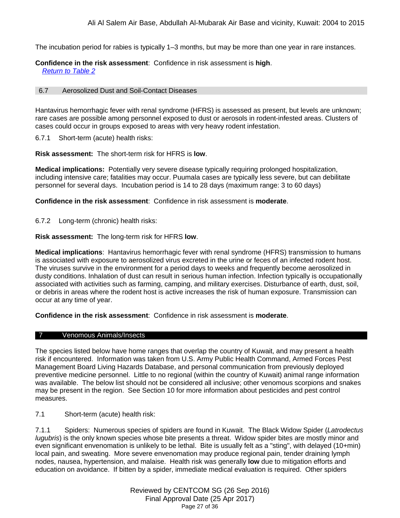The incubation period for rabies is typically 1–3 months, but may be more than one year in rare instances.

**Confidence in the risk assessment**: Confidence in risk assessment is **high**. *[Return to Table 2](#page-6-2)*

#### 6.7 Aerosolized Dust and Soil-Contact Diseases

Hantavirus hemorrhagic fever with renal syndrome (HFRS) is assessed as present, but levels are unknown; rare cases are possible among personnel exposed to dust or aerosols in rodent-infested areas. Clusters of cases could occur in groups exposed to areas with very heavy rodent infestation.

6.7.1 Short-term (acute) health risks:

**Risk assessment:** The short-term risk for HFRS is **low**.

**Medical implications:** Potentially very severe disease typically requiring prolonged hospitalization, including intensive care; fatalities may occur. Puumala cases are typically less severe, but can debilitate personnel for several days.Incubation period is 14 to 28 days (maximum range: 3 to 60 days)

**Confidence in the risk assessment**: Confidence in risk assessment is **moderate**.

6.7.2 Long-term (chronic) health risks:

**Risk assessment:** The long-term risk for HFRS **low**.

**Medical implications**: Hantavirus hemorrhagic fever with renal syndrome (HFRS) transmission to humans is associated with exposure to aerosolized virus excreted in the urine or feces of an infected rodent host. The viruses survive in the environment for a period days to weeks and frequently become aerosolized in dusty conditions. Inhalation of dust can result in serious human infection. Infection typically is occupationally associated with activities such as farming, camping, and military exercises. Disturbance of earth, dust, soil, or debris in areas where the rodent host is active increases the risk of human exposure. Transmission can occur at any time of year.

**Confidence in the risk assessment**: Confidence in risk assessment is **moderate**.

#### <span id="page-26-0"></span>7 Venomous Animals/Insects

The species listed below have home ranges that overlap the country of Kuwait, and may present a health risk if encountered. Information was taken from U.S. Army Public Health Command, Armed Forces Pest Management Board Living Hazards Database, and personal communication from previously deployed preventive medicine personnel. Little to no regional (within the country of Kuwait) animal range information was available. The below list should not be considered all inclusive; other venomous scorpions and snakes may be present in the region. See Section 10 for more information about pesticides and pest control measures.

7.1 Short-term (acute) health risk:

7.1.1 Spiders: Numerous species of spiders are found in Kuwait. The Black Widow Spider (*Latrodectus lugubris*) is the only known species whose bite presents a threat. Widow spider bites are mostly minor and even significant envenomation is unlikely to be lethal. Bite is usually felt as a "sting", with delayed (10+min) local pain, and sweating. More severe envenomation may produce regional pain, tender draining lymph nodes, nausea, hypertension, and malaise. Health risk was generally **low** due to mitigation efforts and education on avoidance. If bitten by a spider, immediate medical evaluation is required. Other spiders

> Reviewed by CENTCOM SG (26 Sep 2016) Final Approval Date (25 Apr 2017) Page 27 of 36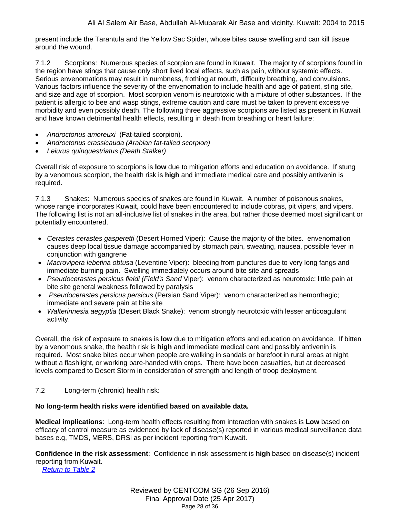present include the Tarantula and the Yellow Sac Spider, whose bites cause swelling and can kill tissue around the wound.

7.1.2 Scorpions: Numerous species of scorpion are found in Kuwait. The majority of scorpions found in the region have stings that cause only short lived local effects, such as pain, without systemic effects. Serious envenomations may result in numbness, frothing at mouth, difficulty breathing, and convulsions. Various factors influence the severity of the envenomation to include health and age of patient, sting site, and size and age of scorpion. Most scorpion venom is neurotoxic with a mixture of other substances. If the patient is allergic to bee and wasp stings, extreme caution and care must be taken to prevent excessive morbidity and even possibly death. The following three aggressive scorpions are listed as present in Kuwait and have known detrimental health effects, resulting in death from breathing or heart failure:

- *Androctonus amoreuxi* (Fat-tailed scorpion).
- *Androctonus crassicauda (Arabian fat-tailed scorpion)*
- *Leiurus quinquestriatus (Death Stalker)*

Overall risk of exposure to scorpions is **low** due to mitigation efforts and education on avoidance. If stung by a venomous scorpion, the health risk is **high** and immediate medical care and possibly antivenin is required.

7.1.3 Snakes: Numerous species of snakes are found in Kuwait. A number of poisonous snakes, whose range incorporates Kuwait, could have been encountered to include cobras, pit vipers, and vipers. The following list is not an all-inclusive list of snakes in the area, but rather those deemed most significant or potentially encountered.

- *Cerastes cerastes gasperetti* (Desert Horned Viper): Cause the majority of the bites. envenomation causes deep local tissue damage accompanied by stomach pain, sweating, nausea, possible fever in conjunction with gangrene
- *Macrovipera lebetina obtusa* (Leventine Viper): bleeding from punctures due to very long fangs and immediate burning pain. Swelling immediately occurs around bite site and spreads
- *Pseudocerastes persicus fieldi (Field's Sand* Viper): venom characterized as neurotoxic; little pain at bite site general weakness followed by paralysis
- *Pseudocerastes persicus persicus* (Persian Sand Viper): venom characterized as hemorrhagic; immediate and severe pain at bite site
- *Walterinnesia aegyptia* (Desert Black Snake): venom strongly neurotoxic with lesser anticoagulant activity.

Overall, the risk of exposure to snakes is **low** due to mitigation efforts and education on avoidance. If bitten by a venomous snake, the health risk is **high** and immediate medical care and possibly antivenin is required. Most snake bites occur when people are walking in sandals or barefoot in rural areas at night, without a flashlight, or working bare-handed with crops. There have been casualties, but at decreased levels compared to Desert Storm in consideration of strength and length of troop deployment.

# 7.2 Long-term (chronic) health risk:

## **No long-term health risks were identified based on available data.**

**Medical implications**: Long-term health effects resulting from interaction with snakes is **Low** based on efficacy of control measure as evidenced by lack of disease(s) reported in various medical surveillance data bases e.g, TMDS, MERS, DRSi as per incident reporting from Kuwait.

**Confidence in the risk assessment**: Confidence in risk assessment is **high** based on disease(s) incident reporting from Kuwait.

*[Return to Table 2](#page-7-0)*

Reviewed by CENTCOM SG (26 Sep 2016) Final Approval Date (25 Apr 2017) Page 28 of 36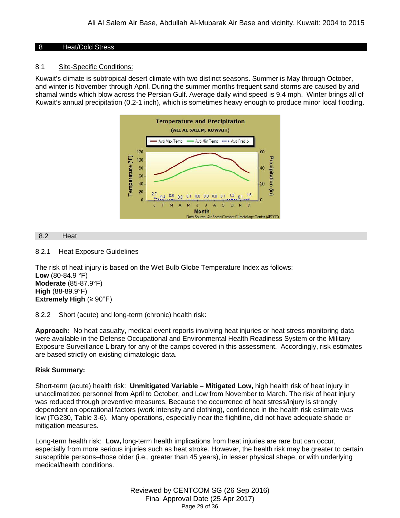## <span id="page-28-0"></span>8 Heat/Cold Stress

## 8.1 Site-Specific Conditions:

Kuwait's climate is subtropical desert climate with two distinct seasons. Summer is May through October, and winter is November through April. During the summer months frequent sand storms are caused by arid shamal winds which blow across the Persian Gulf. Average daily wind speed is 9.4 mph. Winter brings all of Kuwait's annual precipitation (0.2-1 inch), which is sometimes heavy enough to produce minor local flooding.



#### <span id="page-28-1"></span>8.2 Heat

8.2.1 Heat Exposure Guidelines

The risk of heat injury is based on the Wet Bulb Globe Temperature Index as follows: **Low** (80-84.9 °F) **Moderate** (85-87.9°F) **High** (88-89.9°F) **Extremely High** (≥ 90°F)

8.2.2 Short (acute) and long-term (chronic) health risk:

**Approach:** No heat casualty, medical event reports involving heat injuries or heat stress monitoring data were available in the Defense Occupational and Environmental Health Readiness System or the Military Exposure Surveillance Library for any of the camps covered in this assessment. Accordingly, risk estimates are based strictly on existing climatologic data.

## **Risk Summary:**

Short-term (acute) health risk: **Unmitigated Variable – Mitigated Low,** high health risk of heat injury in unacclimatized personnel from April to October, and Low from November to March. The risk of heat injury was reduced through preventive measures. Because the occurrence of heat stress/injury is strongly dependent on operational factors (work intensity and clothing), confidence in the health risk estimate was low (TG230, Table 3-6). Many operations, especially near the flightline, did not have adequate shade or mitigation measures.

Long-term health risk: **Low,** long-term health implications from heat injuries are rare but can occur, especially from more serious injuries such as heat stroke. However, the health risk may be greater to certain susceptible persons–those older (i.e., greater than 45 years), in lesser physical shape, or with underlying medical/health conditions.

> Reviewed by CENTCOM SG (26 Sep 2016) Final Approval Date (25 Apr 2017) Page 29 of 36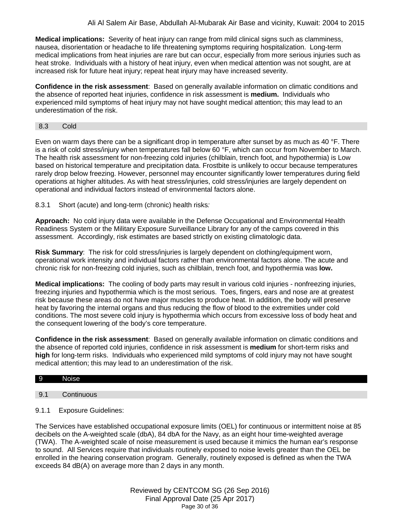**Medical implications:** Severity of heat injury can range from mild clinical signs such as clamminess, nausea, disorientation or headache to life threatening symptoms requiring hospitalization. Long-term medical implications from heat injuries are rare but can occur, especially from more serious injuries such as heat stroke. Individuals with a history of heat injury, even when medical attention was not sought, are at increased risk for future heat injury; repeat heat injury may have increased severity.

**Confidence in the risk assessment**: Based on generally available information on climatic conditions and the absence of reported heat injuries, confidence in risk assessment is **medium.** Individuals who experienced mild symptoms of heat injury may not have sought medical attention; this may lead to an underestimation of the risk.

#### <span id="page-29-0"></span>8.3 Cold

Even on warm days there can be a significant drop in temperature after sunset by as much as 40 °F. There is a risk of cold stress/injury when temperatures fall below 60 °F, which can occur from November to March. The health risk assessment for non-freezing cold injuries (chilblain, trench foot, and hypothermia) is Low based on historical temperature and precipitation data. Frostbite is unlikely to occur because temperatures rarely drop below freezing. However, personnel may encounter significantly lower temperatures during field operations at higher altitudes. As with heat stress/injuries, cold stress/injuries are largely dependent on operational and individual factors instead of environmental factors alone.

8.3.1 Short (acute) and long-term (chronic) health risks*:*

**Approach:** No cold injury data were available in the Defense Occupational and Environmental Health Readiness System or the Military Exposure Surveillance Library for any of the camps covered in this assessment. Accordingly, risk estimates are based strictly on existing climatologic data.

**Risk Summary**: The risk for cold stress/injuries is largely dependent on clothing/equipment worn, operational work intensity and individual factors rather than environmental factors alone. The acute and chronic risk for non-freezing cold injuries, such as chilblain, trench foot, and hypothermia was **low.**

**Medical implications:** The cooling of body parts may result in various cold injuries - nonfreezing injuries, freezing injuries and hypothermia which is the most serious. Toes, fingers, ears and nose are at greatest risk because these areas do not have major muscles to produce heat. In addition, the body will preserve heat by favoring the internal organs and thus reducing the flow of blood to the extremities under cold conditions. The most severe cold injury is hypothermia which occurs from excessive loss of body heat and the consequent lowering of the body's core temperature.

**Confidence in the risk assessment**: Based on generally available information on climatic conditions and the absence of reported cold injuries, confidence in risk assessment is **medium** for short-term risks and **high** for long-term risks. Individuals who experienced mild symptoms of cold injury may not have sought medical attention; this may lead to an underestimation of the risk.

#### 9 Noise

## <span id="page-29-1"></span>9.1 Continuous

## 9.1.1 Exposure Guidelines:

The Services have established occupational exposure limits (OEL) for continuous or intermittent noise at 85 decibels on the A-weighted scale (dbA), 84 dbA for the Navy, as an eight hour time-weighted average (TWA). The A-weighted scale of noise measurement is used because it mimics the human ear's response to sound. All Services require that individuals routinely exposed to noise levels greater than the OEL be enrolled in the hearing conservation program. Generally, routinely exposed is defined as when the TWA exceeds 84 dB(A) on average more than 2 days in any month.

> Reviewed by CENTCOM SG (26 Sep 2016) Final Approval Date (25 Apr 2017) Page 30 of 36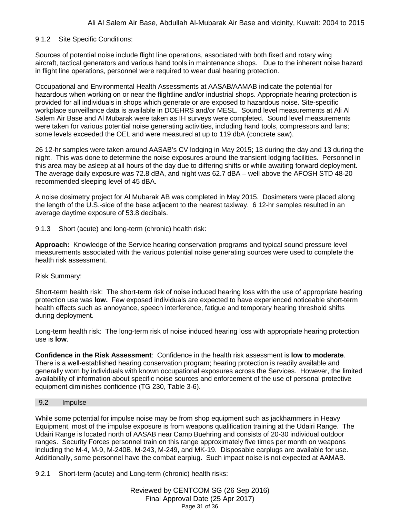## 9.1.2 Site Specific Conditions:

Sources of potential noise include flight line operations, associated with both fixed and rotary wing aircraft, tactical generators and various hand tools in maintenance shops. Due to the inherent noise hazard in flight line operations, personnel were required to wear dual hearing protection.

Occupational and Environmental Health Assessments at AASAB/AAMAB indicate the potential for hazardous when working on or near the flightline and/or industrial shops. Appropriate hearing protection is provided for all individuals in shops which generate or are exposed to hazardous noise. Site-specific workplace surveillance data is available in DOEHRS and/or MESL. Sound level measurements at Ali Al Salem Air Base and Al Mubarak were taken as IH surveys were completed. Sound level measurements were taken for various potential noise generating activities, including hand tools, compressors and fans; some levels exceeded the OEL and were measured at up to 119 dbA (concrete saw).

26 12-hr samples were taken around AASAB's CV lodging in May 2015; 13 during the day and 13 during the night. This was done to determine the noise exposures around the transient lodging facilities. Personnel in this area may be asleep at all hours of the day due to differing shifts or while awaiting forward deployment. The average daily exposure was 72.8 dBA, and night was 62.7 dBA – well above the AFOSH STD 48-20 recommended sleeping level of 45 dBA.

A noise dosimetry project for Al Mubarak AB was completed in May 2015. Dosimeters were placed along the length of the U.S.-side of the base adjacent to the nearest taxiway. 6 12-hr samples resulted in an average daytime exposure of 53.8 decibals.

9.1.3 Short (acute) and long-term (chronic) health risk:

**Approach:** Knowledge of the Service hearing conservation programs and typical sound pressure level measurements associated with the various potential noise generating sources were used to complete the health risk assessment.

## Risk Summary:

Short-term health risk: The short-term risk of noise induced hearing loss with the use of appropriate hearing protection use was **low.** Few exposed individuals are expected to have experienced noticeable short-term health effects such as annoyance, speech interference, fatigue and temporary hearing threshold shifts during deployment.

Long-term health risk: The long-term risk of noise induced hearing loss with appropriate hearing protection use is **low**.

**Confidence in the Risk Assessment**: Confidence in the health risk assessment is **low to moderate**. There is a well-established hearing conservation program; hearing protection is readily available and generally worn by individuals with known occupational exposures across the Services. However, the limited availability of information about specific noise sources and enforcement of the use of personal protective equipment diminishes confidence (TG 230, Table 3-6).

#### 9.2 Impulse

While some potential for impulse noise may be from shop equipment such as jackhammers in Heavy Equipment, most of the impulse exposure is from weapons qualification training at the Udairi Range. The Udairi Range is located north of AASAB near Camp Buehring and consists of 20-30 individual outdoor ranges. Security Forces personnel train on this range approximately five times per month on weapons including the M-4, M-9, M-240B, M-243, M-249, and MK-19. Disposable earplugs are available for use. Additionally, some personnel have the combat earplug. Such impact noise is not expected at AAMAB.

9.2.1 Short-term (acute) and Long-term (chronic) health risks: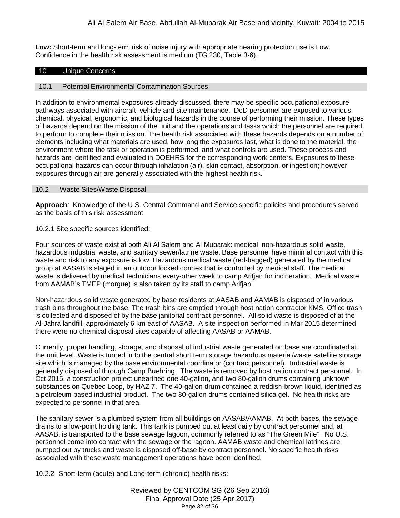**Low:** Short-term and long-term risk of noise injury with appropriate hearing protection use is Low. Confidence in the health risk assessment is medium (TG 230, Table 3-6).

#### <span id="page-31-0"></span>10 Unique Concerns

## 10.1 Potential Environmental Contamination Sources

In addition to environmental exposures already discussed, there may be specific occupational exposure pathways associated with aircraft, vehicle and site maintenance. DoD personnel are exposed to various chemical, physical, ergonomic, and biological hazards in the course of performing their mission. These types of hazards depend on the mission of the unit and the operations and tasks which the personnel are required to perform to complete their mission. The health risk associated with these hazards depends on a number of elements including what materials are used, how long the exposures last, what is done to the material, the environment where the task or operation is performed, and what controls are used. These process and hazards are identified and evaluated in DOEHRS for the corresponding work centers. Exposures to these occupational hazards can occur through inhalation (air), skin contact, absorption, or ingestion; however exposures through air are generally associated with the highest health risk.

#### 10.2 Waste Sites/Waste Disposal

**Approach**: Knowledge of the U.S. Central Command and Service specific policies and procedures served as the basis of this risk assessment.

#### 10.2.1 Site specific sources identified:

Four sources of waste exist at both Ali Al Salem and Al Mubarak: medical, non-hazardous solid waste, hazardous industrial waste, and sanitary sewer/latrine waste. Base personnel have minimal contact with this waste and risk to any exposure is low. Hazardous medical waste (red-bagged) generated by the medical group at AASAB is staged in an outdoor locked connex that is controlled by medical staff. The medical waste is delivered by medical technicians every-other week to camp Arifjan for incineration. Medical waste from AAMAB's TMEP (morgue) is also taken by its staff to camp Arifjan.

Non-hazardous solid waste generated by base residents at AASAB and AAMAB is disposed of in various trash bins throughout the base. The trash bins are emptied through host nation contractor KMS. Office trash is collected and disposed of by the base janitorial contract personnel. All solid waste is disposed of at the Al-Jahra landfill, approximately 6 km east of AASAB. A site inspection performed in Mar 2015 determined there were no chemical disposal sites capable of affecting AASAB or AAMAB.

Currently, proper handling, storage, and disposal of industrial waste generated on base are coordinated at the unit level. Waste is turned in to the central short term storage hazardous material/waste satellite storage site which is managed by the base environmental coordinator (contract personnel). Industrial waste is generally disposed of through Camp Buehring. The waste is removed by host nation contract personnel. In Oct 2015, a construction project unearthed one 40-gallon, and two 80-gallon drums containing unknown substances on Quebec Loop, by HAZ 7. The 40-gallon drum contained a reddish-brown liquid, identified as a petroleum based industrial product. The two 80-gallon drums contained silica gel. No health risks are expected to personnel in that area.

The sanitary sewer is a plumbed system from all buildings on AASAB/AAMAB. At both bases, the sewage drains to a low-point holding tank. This tank is pumped out at least daily by contract personnel and, at AASAB, is transported to the base sewage lagoon, commonly referred to as "The Green Mile". No U.S. personnel come into contact with the sewage or the lagoon. AAMAB waste and chemical latrines are pumped out by trucks and waste is disposed off-base by contract personnel. No specific health risks associated with these waste management operations have been identified.

10.2.2 Short-term (acute) and Long-term (chronic) health risks: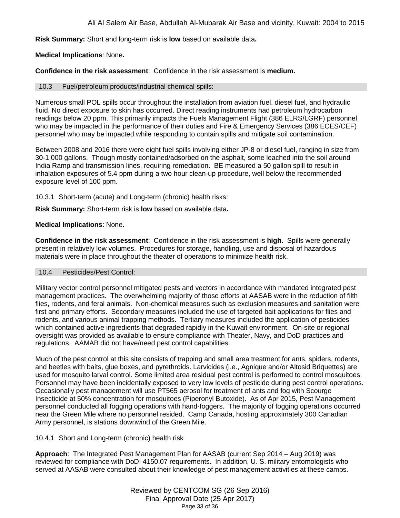Ali Al Salem Air Base, Abdullah Al-Mubarak Air Base and vicinity, Kuwait: 2004 to 2015

**Risk Summary:** Short and long-term risk is **low** based on available data**.**

## **Medical Implications**: None**.**

**Confidence in the risk assessment**: Confidence in the risk assessment is **medium.**

## 10.3 Fuel/petroleum products/industrial chemical spills:

Numerous small POL spills occur throughout the installation from aviation fuel, diesel fuel, and hydraulic fluid. No direct exposure to skin has occurred. Direct reading instruments had petroleum hydrocarbon readings below 20 ppm. This primarily impacts the Fuels Management Flight (386 ELRS/LGRF) personnel who may be impacted in the performance of their duties and Fire & Emergency Services (386 ECES/CEF) personnel who may be impacted while responding to contain spills and mitigate soil contamination.

Between 2008 and 2016 there were eight fuel spills involving either JP-8 or diesel fuel, ranging in size from 30-1,000 gallons. Though mostly contained/adsorbed on the asphalt, some leached into the soil around India Ramp and transmission lines, requiring remediation. BE measured a 50 gallon spill to result in inhalation exposures of 5.4 ppm during a two hour clean-up procedure, well below the recommended exposure level of 100 ppm.

10.3.1 Short-term (acute) and Long-term (chronic) health risks:

**Risk Summary:** Short-term risk is **low** based on available data**.**

## **Medical Implications**: None**.**

**Confidence in the risk assessment**: Confidence in the risk assessment is **high.** Spills were generally present in relatively low volumes. Procedures for storage, handling, use and disposal of hazardous materials were in place throughout the theater of operations to minimize health risk.

## 10.4 Pesticides/Pest Control:

Military vector control personnel mitigated pests and vectors in accordance with mandated integrated pest management practices. The overwhelming majority of those efforts at AASAB were in the reduction of filth flies, rodents, and feral animals. Non-chemical measures such as exclusion measures and sanitation were first and primary efforts. Secondary measures included the use of targeted bait applications for flies and rodents, and various animal trapping methods. Tertiary measures included the application of pesticides which contained active ingredients that degraded rapidly in the Kuwait environment. On-site or regional oversight was provided as available to ensure compliance with Theater, Navy, and DoD practices and regulations. AAMAB did not have/need pest control capabilities.

Much of the pest control at this site consists of trapping and small area treatment for ants, spiders, rodents, and beetles with baits, glue boxes, and pyrethroids. Larvicides (i.e., Agnique and/or Altosid Briquettes) are used for mosquito larval control. Some limited area residual pest control is performed to control mosquitoes. Personnel may have been incidentally exposed to very low levels of pesticide during pest control operations. Occasionally pest management will use PT565 aerosol for treatment of ants and fog with Scourge Insecticide at 50% concentration for mosquitoes (Piperonyl Butoxide). As of Apr 2015, Pest Management personnel conducted all fogging operations with hand-foggers. The majority of fogging operations occurred near the Green Mile where no personnel resided. Camp Canada, hosting approximately 300 Canadian Army personnel, is stations downwind of the Green Mile.

## 10.4.1 Short and Long-term (chronic) health risk

**Approach**: The Integrated Pest Management Plan for AASAB (current Sep 2014 – Aug 2019) was reviewed for compliance with DoDI 4150.07 requirements. In addition, U. S. military entomologists who served at AASAB were consulted about their knowledge of pest management activities at these camps.

> Reviewed by CENTCOM SG (26 Sep 2016) Final Approval Date (25 Apr 2017) Page 33 of 36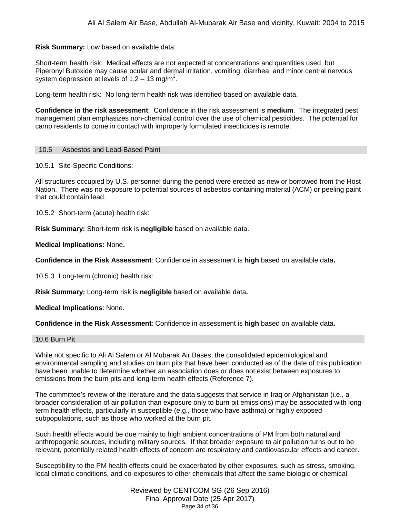**Risk Summary:** Low based on available data.

Short-term health risk: Medical effects are not expected at concentrations and quantities used, but Piperonyl Butoxide may cause ocular and dermal irritation, vomiting, diarrhea, and minor central nervous system depression at levels of 1.2 – 13 mg/m<sup>3</sup>.

Long-term health risk: No long-term health risk was identified based on available data.

**Confidence in the risk assessment**: Confidence in the risk assessment is **medium**. The integrated pest management plan emphasizes non-chemical control over the use of chemical pesticides. The potential for camp residents to come in contact with improperly formulated insecticides is remote.

#### 10.5 Asbestos and Lead-Based Paint

10.5.1 Site-Specific Conditions:

All structures occupied by U.S. personnel during the period were erected as new or borrowed from the Host Nation. There was no exposure to potential sources of asbestos containing material (ACM) or peeling paint that could contain lead.

10.5.2 Short-term (acute) health risk:

**Risk Summary:** Short-term risk is **negligible** based on available data.

**Medical Implications:** None**.**

**Confidence in the Risk Assessment**: Confidence in assessment is **high** based on available data**.**

10.5.3 Long-term (chronic) health risk:

**Risk Summary:** Long-term risk is **negligible** based on available data**.**

**Medical Implications**: None.

**Confidence in the Risk Assessment**: Confidence in assessment is **high** based on available data**.**

#### 10.6 Burn Pit

While not specific to Ali Al Salem or Al Mubarak Air Bases, the consolidated epidemiological and environmental sampling and studies on burn pits that have been conducted as of the date of this publication have been unable to determine whether an association does or does not exist between exposures to emissions from the burn pits and long-term health effects (Reference 7).

The committee's review of the literature and the data suggests that service in Iraq or Afghanistan (i.e., a broader consideration of air pollution than exposure only to burn pit emissions) may be associated with longterm health effects, particularly in susceptible (e.g., those who have asthma) or highly exposed subpopulations, such as those who worked at the burn pit.

Such health effects would be due mainly to high ambient concentrations of PM from both natural and anthropogenic sources, including military sources. If that broader exposure to air pollution turns out to be relevant, potentially related health effects of concern are respiratory and cardiovascular effects and cancer.

Susceptibility to the PM health effects could be exacerbated by other exposures, such as stress, smoking, local climatic conditions, and co-exposures to other chemicals that affect the same biologic or chemical

> Reviewed by CENTCOM SG (26 Sep 2016) Final Approval Date (25 Apr 2017) Page 34 of 36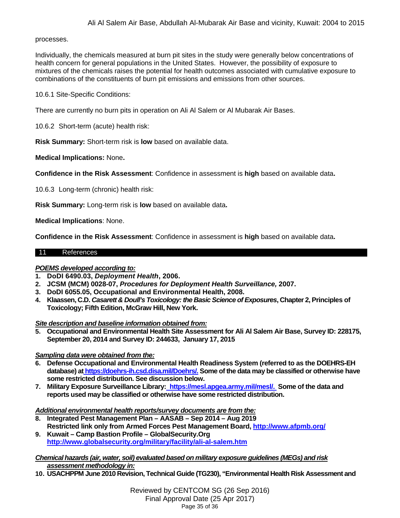#### processes.

Individually, the chemicals measured at burn pit sites in the study were generally below concentrations of health concern for general populations in the United States. However, the possibility of exposure to mixtures of the chemicals raises the potential for health outcomes associated with cumulative exposure to combinations of the constituents of burn pit emissions and emissions from other sources.

10.6.1 Site-Specific Conditions:

There are currently no burn pits in operation on Ali Al Salem or Al Mubarak Air Bases.

10.6.2 Short-term (acute) health risk:

**Risk Summary:** Short-term risk is **low** based on available data.

**Medical Implications:** None**.**

**Confidence in the Risk Assessment**: Confidence in assessment is **high** based on available data**.**

10.6.3 Long-term (chronic) health risk:

**Risk Summary:** Long-term risk is **low** based on available data**.**

**Medical Implications**: None.

**Confidence in the Risk Assessment**: Confidence in assessment is **high** based on available data**.**

#### <span id="page-34-0"></span>11 References

## *POEMS developed according to:*

- **1. DoDI 6490.03,** *Deployment Health***, 2006.**
- **2. JCSM (MCM) 0028-07,** *Procedures for Deployment Health Surveillance,* **2007.**
- **3. DoDI 6055.05, Occupational and Environmental Health, 2008.**
- **4. Klaassen, C.D.** *Casarett & Doull's Toxicology: the Basic Science of Exposures***, Chapter 2, Principles of Toxicology; Fifth Edition, McGraw Hill, New York.**

*Site description and baseline information obtained from:*

**5. Occupational and Environmental Health Site Assessment for Ali Al Salem Air Base, Survey ID: 228175, September 20, 2014 and Survey ID: 244633, January 17, 2015**

*Sampling data were obtained from the:*

- **6. Defense Occupational and Environmental Health Readiness System (referred to as the DOEHRS-EH database) at [https://doehrs-ih.csd.disa.mil/Doehrs/.](https://doehrs-ih.csd.disa.mil/Doehrs/) Some of the data may be classified or otherwise have some restricted distribution. See discussion below.**
- **7. Military Exposure Surveillance Library: [https://mesl.apgea.army.mil/mesl/.](https://mesl.apgea.army.mil/mesl/) Some of the data and reports used may be classified or otherwise have some restricted distribution.**

*Additional environmental health reports/survey documents are from the:*

- **8. Integrated Pest Management Plan – AASAB – Sep 2014 – Aug 2019 Restricted link only from Armed Forces Pest Management Board[, http://www.afpmb.org/](http://www.afpmb.org/)**
- **9. Kuwait – Camp Bastion Profile – GlobalSecurity.Org <http://www.globalsecurity.org/military/facility/ali-al-salem.htm>**

*Chemical hazards (air, water, soil) evaluated based on military exposure guidelines (MEGs) and risk assessment methodology in:*

**10. USACHPPM June 2010 Revision, Technical Guide (TG230), "Environmental Health Risk Assessment and** 

Reviewed by CENTCOM SG (26 Sep 2016) Final Approval Date (25 Apr 2017) Page 35 of 36